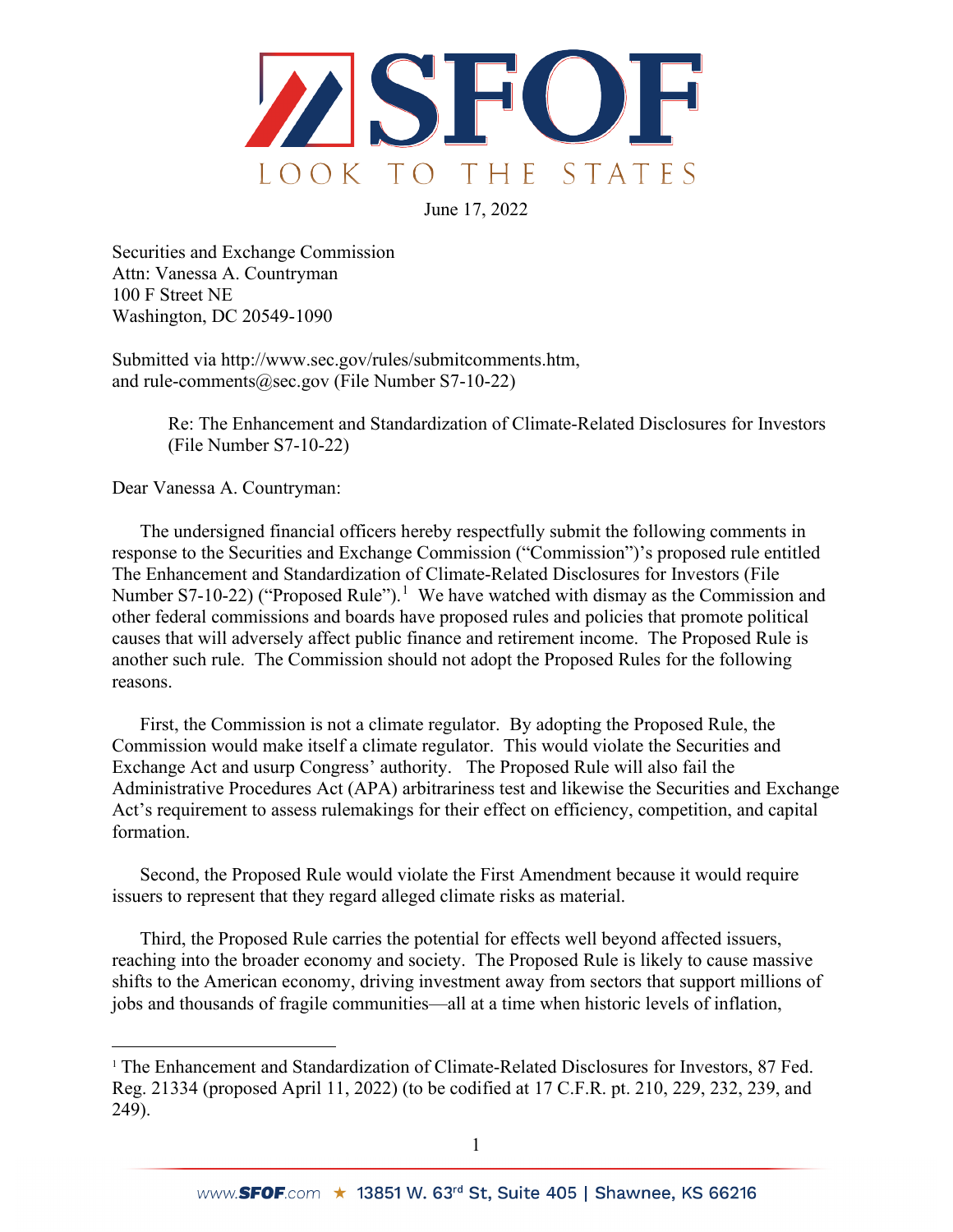

June 17, 2022

Securities and Exchange Commission Attn: Vanessa A. Countryman 100 F Street NE Washington, DC 20549-1090

Submitted via http://www.sec.gov/rules/submitcomments.htm, and rule-comments@sec.gov (File Number S7-10-22)

> Re: The Enhancement and Standardization of Climate-Related Disclosures for Investors (File Number S7-10-22)

Dear Vanessa A. Countryman:

The undersigned financial officers hereby respectfully submit the following comments in response to the Securities and Exchange Commission ("Commission")'s proposed rule entitled The Enhancement and Standardization of Climate-Related Disclosures for Investors (File Number S7-[1](#page-0-0)0-22) ("Proposed Rule").<sup>1</sup> We have watched with dismay as the Commission and other federal commissions and boards have proposed rules and policies that promote political causes that will adversely affect public finance and retirement income. The Proposed Rule is another such rule. The Commission should not adopt the Proposed Rules for the following reasons.

First, the Commission is not a climate regulator. By adopting the Proposed Rule, the Commission would make itself a climate regulator. This would violate the Securities and Exchange Act and usurp Congress' authority. The Proposed Rule will also fail the Administrative Procedures Act (APA) arbitrariness test and likewise the Securities and Exchange Act's requirement to assess rulemakings for their effect on efficiency, competition, and capital formation.

Second, the Proposed Rule would violate the First Amendment because it would require issuers to represent that they regard alleged climate risks as material.

Third, the Proposed Rule carries the potential for effects well beyond affected issuers, reaching into the broader economy and society. The Proposed Rule is likely to cause massive shifts to the American economy, driving investment away from sectors that support millions of jobs and thousands of fragile communities—all at a time when historic levels of inflation,

<span id="page-0-0"></span><sup>&</sup>lt;sup>1</sup> The Enhancement and Standardization of Climate-Related Disclosures for Investors, 87 Fed. Reg. 21334 (proposed April 11, 2022) (to be codified at 17 C.F.R. pt. 210, 229, 232, 239, and 249).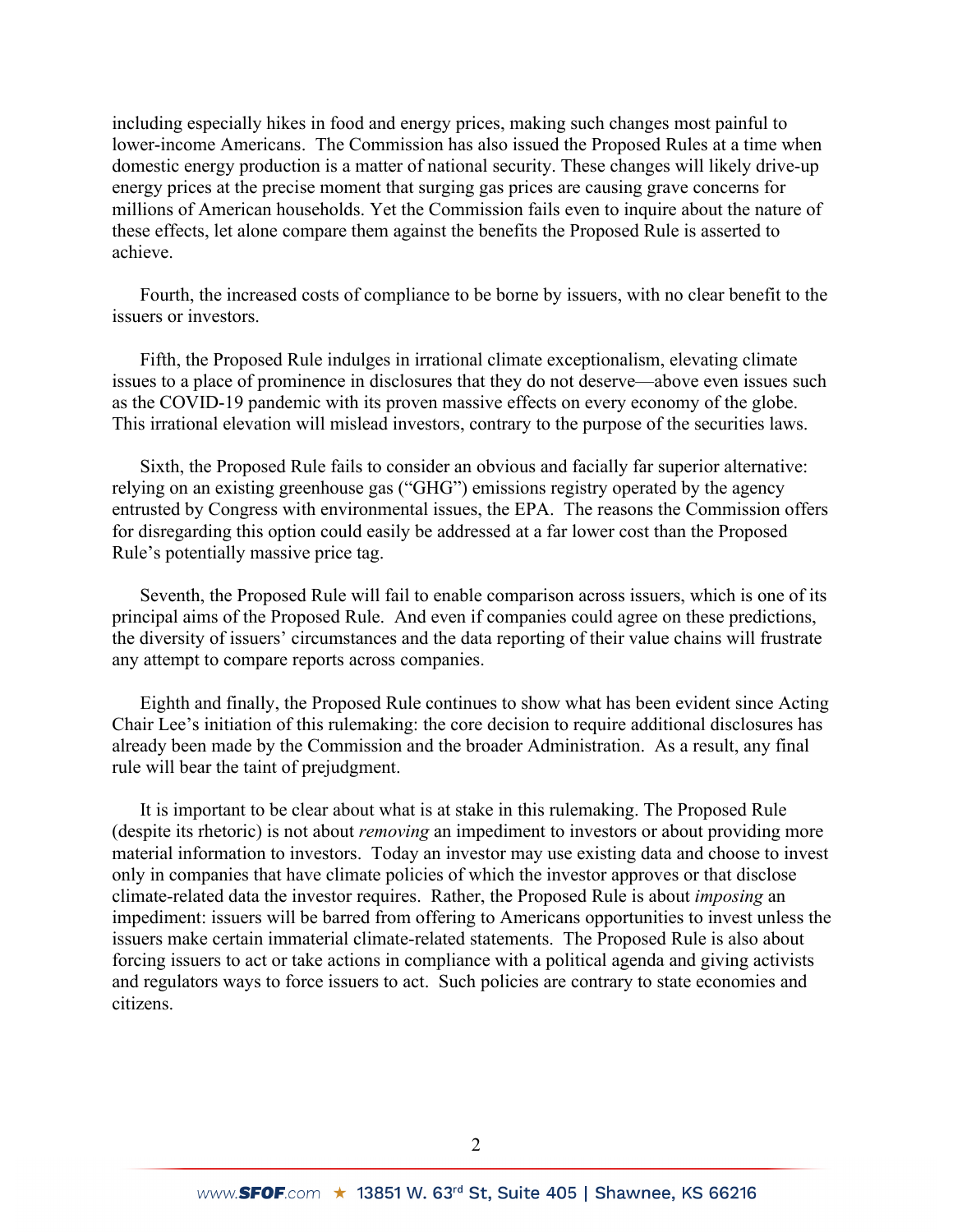including especially hikes in food and energy prices, making such changes most painful to lower-income Americans. The Commission has also issued the Proposed Rules at a time when domestic energy production is a matter of national security. These changes will likely drive-up energy prices at the precise moment that surging gas prices are causing grave concerns for millions of American households. Yet the Commission fails even to inquire about the nature of these effects, let alone compare them against the benefits the Proposed Rule is asserted to achieve.

Fourth, the increased costs of compliance to be borne by issuers, with no clear benefit to the issuers or investors.

Fifth, the Proposed Rule indulges in irrational climate exceptionalism, elevating climate issues to a place of prominence in disclosures that they do not deserve—above even issues such as the COVID-19 pandemic with its proven massive effects on every economy of the globe. This irrational elevation will mislead investors, contrary to the purpose of the securities laws.

Sixth, the Proposed Rule fails to consider an obvious and facially far superior alternative: relying on an existing greenhouse gas ("GHG") emissions registry operated by the agency entrusted by Congress with environmental issues, the EPA. The reasons the Commission offers for disregarding this option could easily be addressed at a far lower cost than the Proposed Rule's potentially massive price tag.

Seventh, the Proposed Rule will fail to enable comparison across issuers, which is one of its principal aims of the Proposed Rule. And even if companies could agree on these predictions, the diversity of issuers' circumstances and the data reporting of their value chains will frustrate any attempt to compare reports across companies.

Eighth and finally, the Proposed Rule continues to show what has been evident since Acting Chair Lee's initiation of this rulemaking: the core decision to require additional disclosures has already been made by the Commission and the broader Administration. As a result, any final rule will bear the taint of prejudgment.

It is important to be clear about what is at stake in this rulemaking. The Proposed Rule (despite its rhetoric) is not about *removing* an impediment to investors or about providing more material information to investors. Today an investor may use existing data and choose to invest only in companies that have climate policies of which the investor approves or that disclose climate-related data the investor requires. Rather, the Proposed Rule is about *imposing* an impediment: issuers will be barred from offering to Americans opportunities to invest unless the issuers make certain immaterial climate-related statements. The Proposed Rule is also about forcing issuers to act or take actions in compliance with a political agenda and giving activists and regulators ways to force issuers to act. Such policies are contrary to state economies and citizens.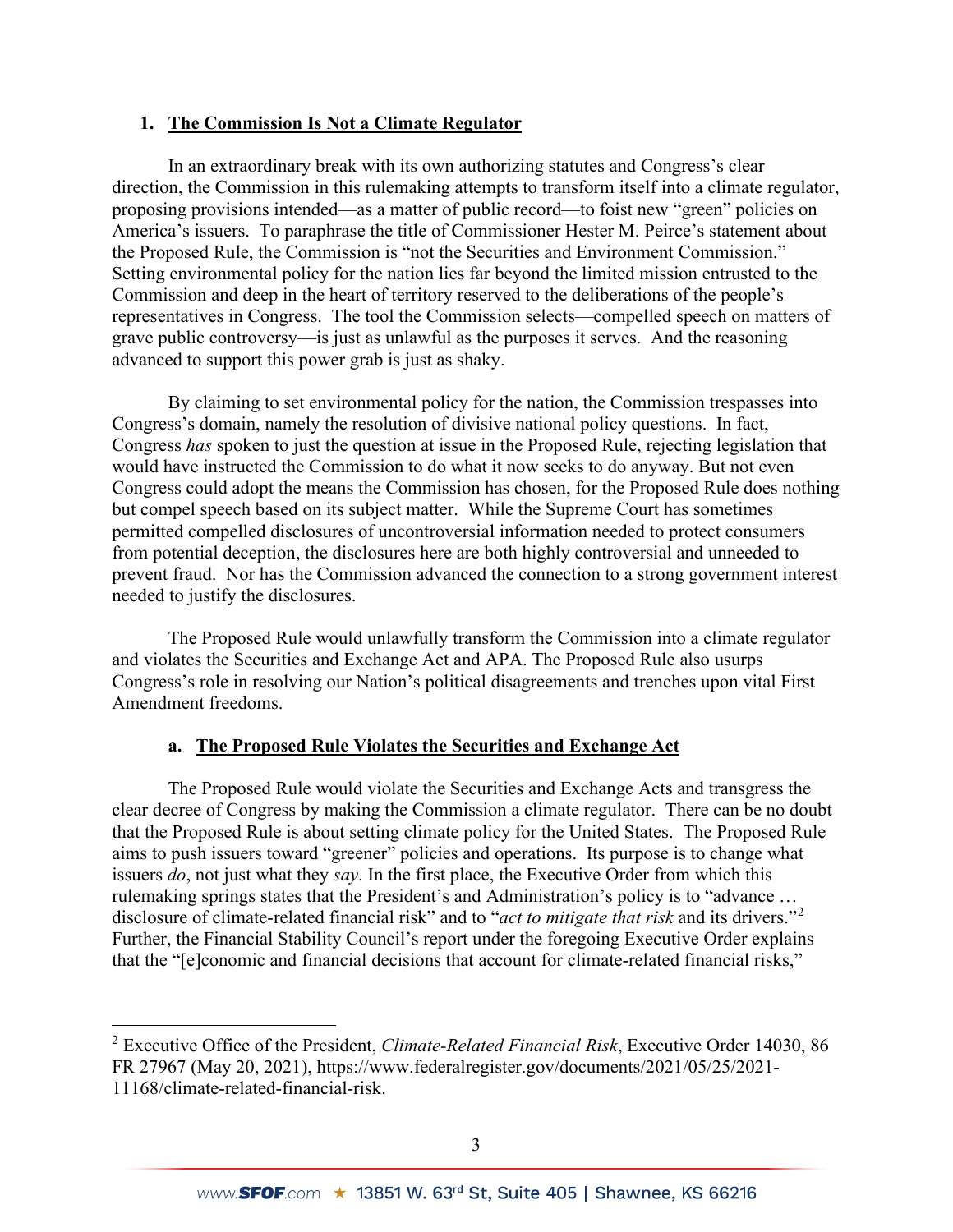## **1. The Commission Is Not a Climate Regulator**

In an extraordinary break with its own authorizing statutes and Congress's clear direction, the Commission in this rulemaking attempts to transform itself into a climate regulator, proposing provisions intended—as a matter of public record—to foist new "green" policies on America's issuers. To paraphrase the title of Commissioner Hester M. Peirce's statement about the Proposed Rule, the Commission is "not the Securities and Environment Commission." Setting environmental policy for the nation lies far beyond the limited mission entrusted to the Commission and deep in the heart of territory reserved to the deliberations of the people's representatives in Congress. The tool the Commission selects—compelled speech on matters of grave public controversy—is just as unlawful as the purposes it serves. And the reasoning advanced to support this power grab is just as shaky.

By claiming to set environmental policy for the nation, the Commission trespasses into Congress's domain, namely the resolution of divisive national policy questions. In fact, Congress *has* spoken to just the question at issue in the Proposed Rule, rejecting legislation that would have instructed the Commission to do what it now seeks to do anyway. But not even Congress could adopt the means the Commission has chosen, for the Proposed Rule does nothing but compel speech based on its subject matter. While the Supreme Court has sometimes permitted compelled disclosures of uncontroversial information needed to protect consumers from potential deception, the disclosures here are both highly controversial and unneeded to prevent fraud. Nor has the Commission advanced the connection to a strong government interest needed to justify the disclosures.

The Proposed Rule would unlawfully transform the Commission into a climate regulator and violates the Securities and Exchange Act and APA. The Proposed Rule also usurps Congress's role in resolving our Nation's political disagreements and trenches upon vital First Amendment freedoms.

## **a. The Proposed Rule Violates the Securities and Exchange Act**

The Proposed Rule would violate the Securities and Exchange Acts and transgress the clear decree of Congress by making the Commission a climate regulator. There can be no doubt that the Proposed Rule is about setting climate policy for the United States. The Proposed Rule aims to push issuers toward "greener" policies and operations. Its purpose is to change what issuers *do*, not just what they *say*. In the first place, the Executive Order from which this rulemaking springs states that the President's and Administration's policy is to "advance … disclosure of climate-related financial risk" and to "*act to mitigate that risk* and its drivers."[2](#page-2-0) Further, the Financial Stability Council's report under the foregoing Executive Order explains that the "[e]conomic and financial decisions that account for climate-related financial risks,"

<span id="page-2-0"></span><sup>2</sup> Executive Office of the President, *Climate-Related Financial Risk*, Executive Order 14030, 86 FR 27967 (May 20, 2021), https://www.federalregister.gov/documents/2021/05/25/2021- 11168/climate-related-financial-risk.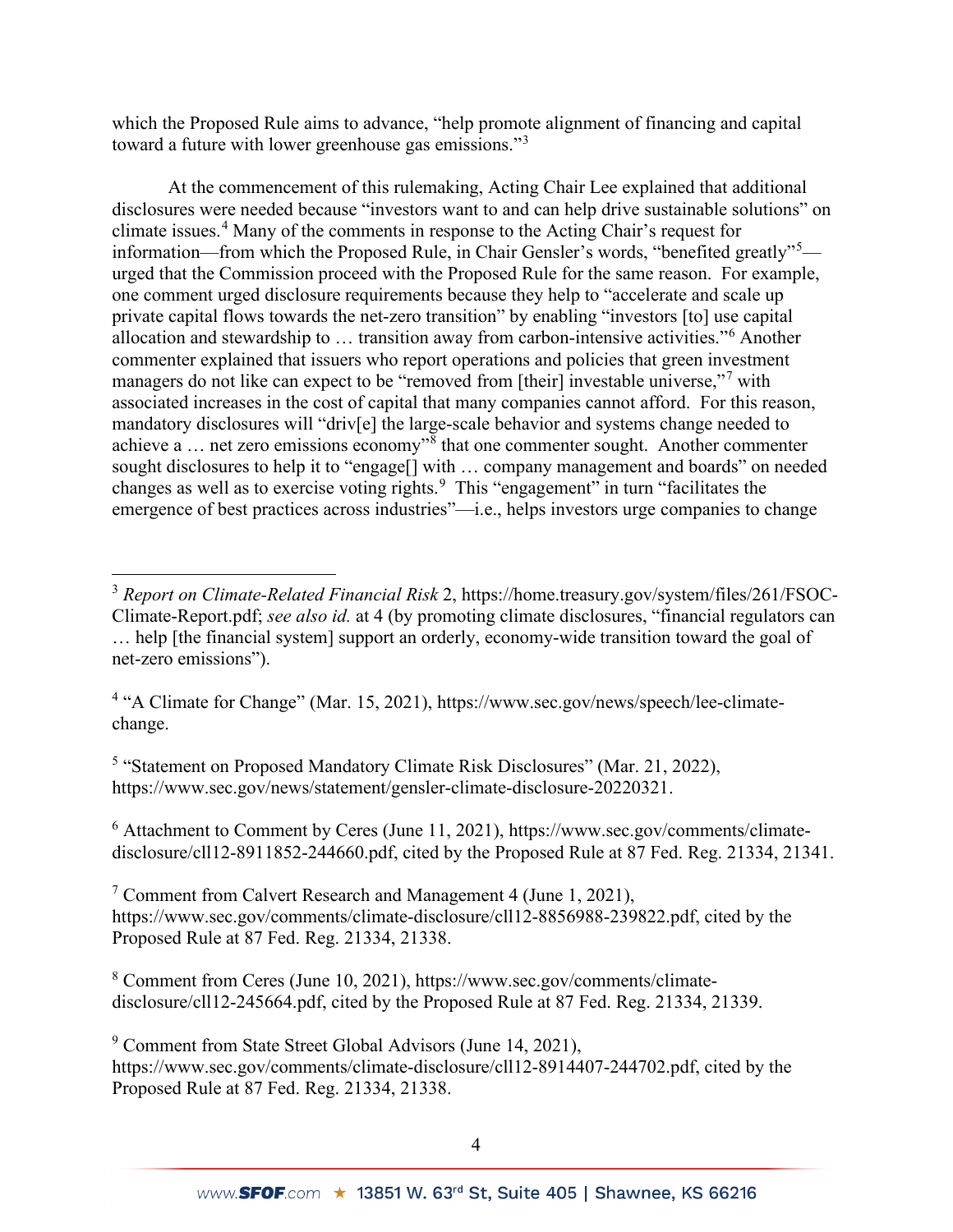which the Proposed Rule aims to advance, "help promote alignment of financing and capital toward a future with lower greenhouse gas emissions."[3](#page-3-0)

At the commencement of this rulemaking, Acting Chair Lee explained that additional disclosures were needed because "investors want to and can help drive sustainable solutions" on climate issues.[4](#page-3-1) Many of the comments in response to the Acting Chair's request for information—from which the Proposed Rule, in Chair Gensler's words, "benefited greatly"<sup>[5](#page-3-2)</sup> urged that the Commission proceed with the Proposed Rule for the same reason. For example, one comment urged disclosure requirements because they help to "accelerate and scale up private capital flows towards the net-zero transition" by enabling "investors [to] use capital allocation and stewardship to … transition away from carbon-intensive activities."[6](#page-3-3) Another commenter explained that issuers who report operations and policies that green investment managers do not like can expect to be "removed from [their] investable universe,"<sup>[7](#page-3-4)</sup> with associated increases in the cost of capital that many companies cannot afford. For this reason, mandatory disclosures will "driv[e] the large-scale behavior and systems change needed to achieve a … net zero emissions economy"[8](#page-3-5) that one commenter sought. Another commenter sought disclosures to help it to "engage<sup>[]</sup> with ... company management and boards" on needed changes as well as to exercise voting rights.<sup>[9](#page-3-6)</sup> This "engagement" in turn "facilitates the emergence of best practices across industries"—i.e., helps investors urge companies to change

<span id="page-3-2"></span><sup>5</sup> "Statement on Proposed Mandatory Climate Risk Disclosures" (Mar. 21, 2022), https://www.sec.gov/news/statement/gensler-climate-disclosure-20220321.

<span id="page-3-3"></span> $6$  Attachment to Comment by Ceres (June 11, 2021), https://www.sec.gov/comments/climatedisclosure/cll12-8911852-244660.pdf, cited by the Proposed Rule at 87 Fed. Reg. 21334, 21341.

<span id="page-3-4"></span><sup>7</sup> Comment from Calvert Research and Management 4 (June 1, 2021), https://www.sec.gov/comments/climate-disclosure/cll12-8856988-239822.pdf, cited by the Proposed Rule at 87 Fed. Reg. 21334, 21338.

<span id="page-3-5"></span><sup>8</sup> Comment from Ceres (June 10, 2021), https://www.sec.gov/comments/climatedisclosure/cll12-245664.pdf, cited by the Proposed Rule at 87 Fed. Reg. 21334, 21339.

<span id="page-3-6"></span><sup>9</sup> Comment from State Street Global Advisors (June 14, 2021),

https://www.sec.gov/comments/climate-disclosure/cll12-8914407-244702.pdf, cited by the Proposed Rule at 87 Fed. Reg. 21334, 21338.

<span id="page-3-0"></span><sup>3</sup> *Report on Climate-Related Financial Risk* 2, https://home.treasury.gov/system/files/261/FSOC-Climate-Report.pdf; *see also id.* at 4 (by promoting climate disclosures, "financial regulators can … help [the financial system] support an orderly, economy-wide transition toward the goal of net-zero emissions").

<span id="page-3-1"></span><sup>&</sup>lt;sup>4</sup> "A Climate for Change" (Mar. 15, 2021), https://www.sec.gov/news/speech/lee-climatechange.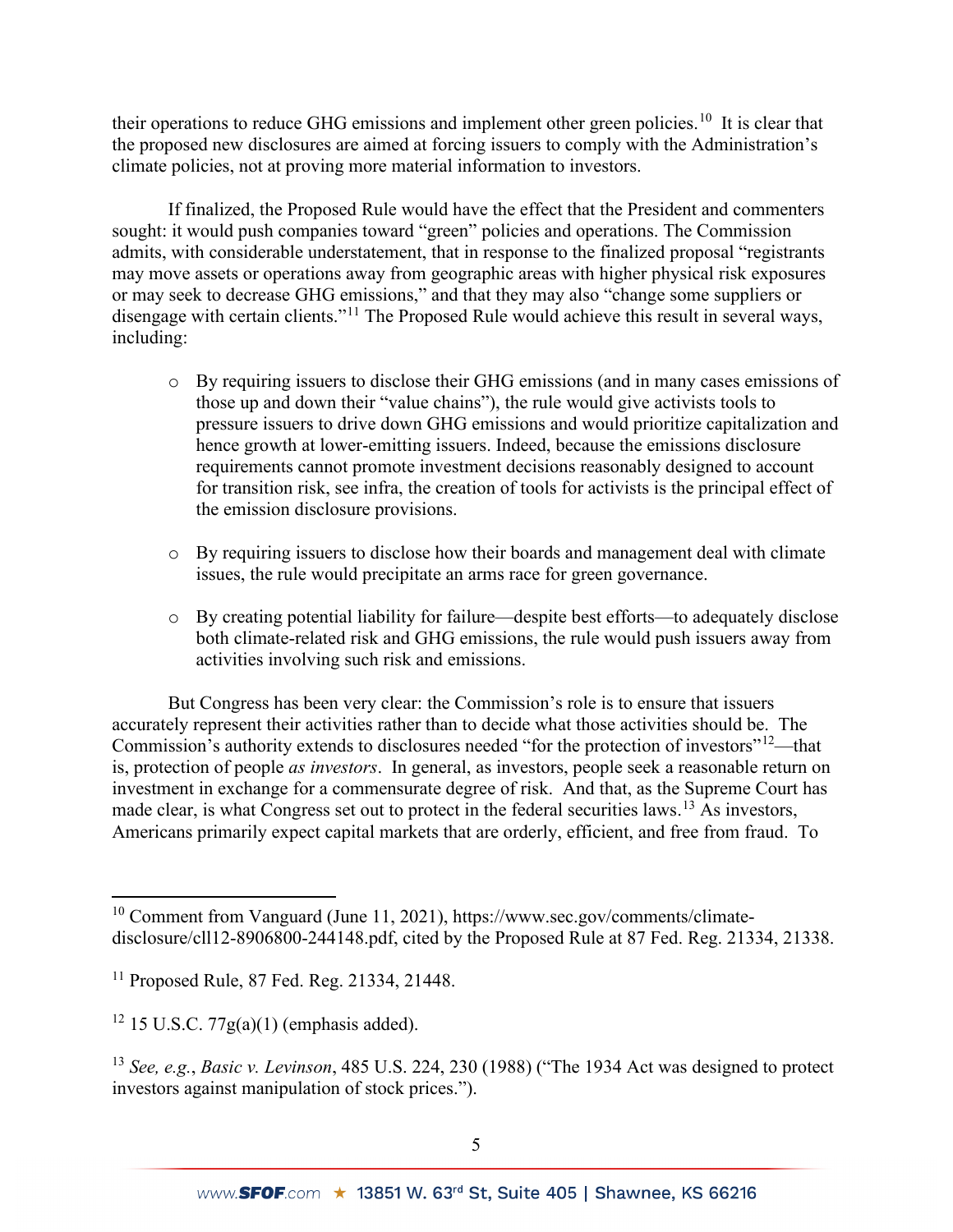their operations to reduce GHG emissions and implement other green policies.<sup>10</sup> It is clear that the proposed new disclosures are aimed at forcing issuers to comply with the Administration's climate policies, not at proving more material information to investors.

If finalized, the Proposed Rule would have the effect that the President and commenters sought: it would push companies toward "green" policies and operations. The Commission admits, with considerable understatement, that in response to the finalized proposal "registrants may move assets or operations away from geographic areas with higher physical risk exposures or may seek to decrease GHG emissions," and that they may also "change some suppliers or disengage with certain clients."<sup>[11](#page-4-1)</sup> The Proposed Rule would achieve this result in several ways, including:

- o By requiring issuers to disclose their GHG emissions (and in many cases emissions of those up and down their "value chains"), the rule would give activists tools to pressure issuers to drive down GHG emissions and would prioritize capitalization and hence growth at lower-emitting issuers. Indeed, because the emissions disclosure requirements cannot promote investment decisions reasonably designed to account for transition risk, see infra, the creation of tools for activists is the principal effect of the emission disclosure provisions.
- o By requiring issuers to disclose how their boards and management deal with climate issues, the rule would precipitate an arms race for green governance.
- o By creating potential liability for failure—despite best efforts—to adequately disclose both climate-related risk and GHG emissions, the rule would push issuers away from activities involving such risk and emissions.

But Congress has been very clear: the Commission's role is to ensure that issuers accurately represent their activities rather than to decide what those activities should be. The Commission's authority extends to disclosures needed "for the protection of investors"<sup>12</sup>—that is, protection of people *as investors*. In general, as investors, people seek a reasonable return on investment in exchange for a commensurate degree of risk. And that, as the Supreme Court has made clear, is what Congress set out to protect in the federal securities laws.<sup>[13](#page-4-3)</sup> As investors, Americans primarily expect capital markets that are orderly, efficient, and free from fraud. To

<span id="page-4-0"></span><sup>&</sup>lt;sup>10</sup> Comment from Vanguard (June 11, 2021), https://www.sec.gov/comments/climatedisclosure/cll12-8906800-244148.pdf, cited by the Proposed Rule at 87 Fed. Reg. 21334, 21338.

<span id="page-4-1"></span><sup>11</sup> Proposed Rule, 87 Fed. Reg. 21334, 21448.

<span id="page-4-2"></span> $12$  15 U.S.C. 77g(a)(1) (emphasis added).

<span id="page-4-3"></span><sup>13</sup> *See, e.g.*, *Basic v. Levinson*, 485 U.S. 224, 230 (1988) ("The 1934 Act was designed to protect investors against manipulation of stock prices.").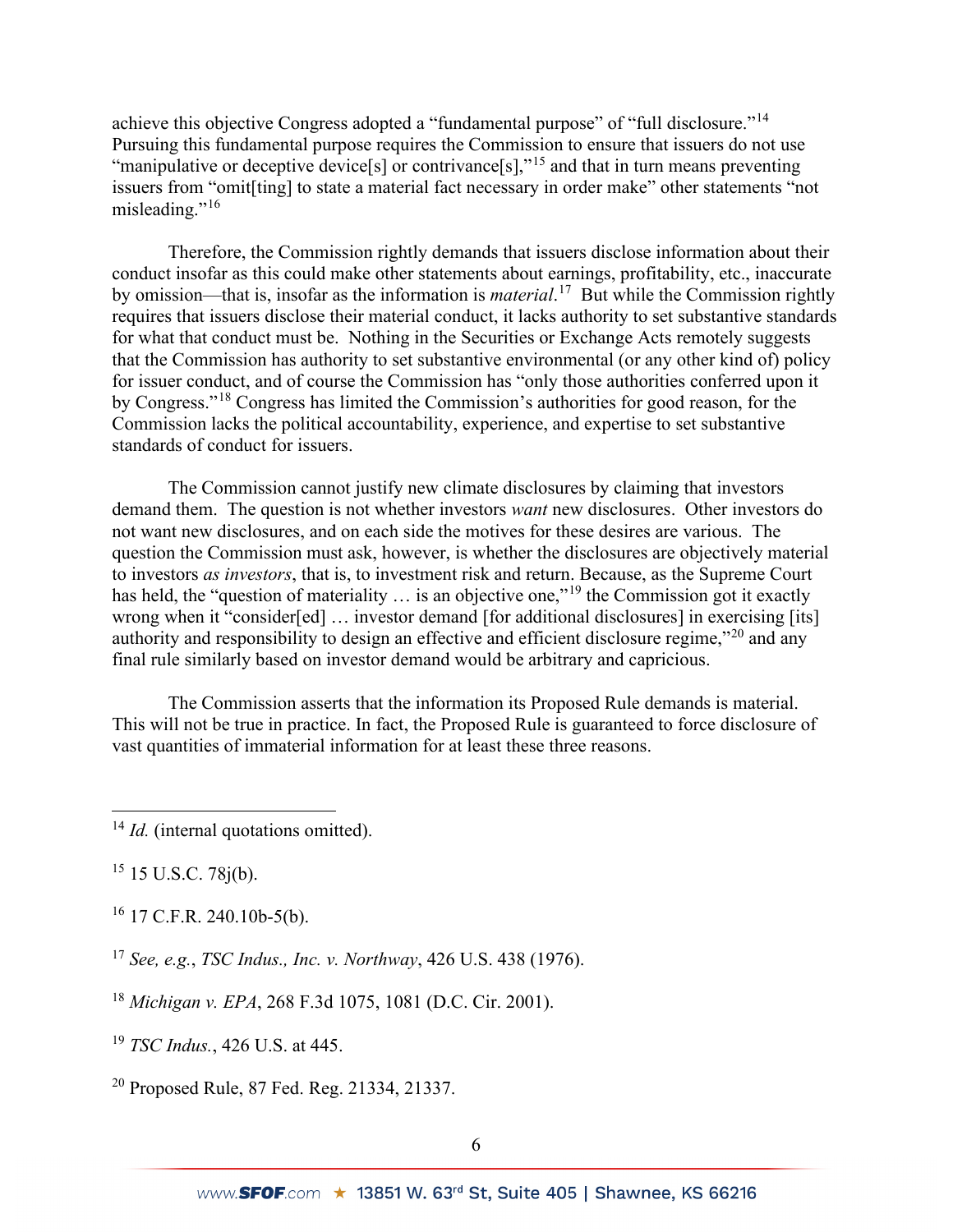achieve this objective Congress adopted a "fundamental purpose" of "full disclosure."[14](#page-5-0) Pursuing this fundamental purpose requires the Commission to ensure that issuers do not use "manipulative or deceptive device<sup>[s]</sup> or contrivance<sup>[s]</sup>,"<sup>[15](#page-5-1)</sup> and that in turn means preventing issuers from "omit[ting] to state a material fact necessary in order make" other statements "not misleading."<sup>[16](#page-5-2)</sup>

Therefore, the Commission rightly demands that issuers disclose information about their conduct insofar as this could make other statements about earnings, profitability, etc., inaccurate by omission—that is, insofar as the information is *material*. [17](#page-5-3) But while the Commission rightly requires that issuers disclose their material conduct, it lacks authority to set substantive standards for what that conduct must be. Nothing in the Securities or Exchange Acts remotely suggests that the Commission has authority to set substantive environmental (or any other kind of) policy for issuer conduct, and of course the Commission has "only those authorities conferred upon it by Congress."[18](#page-5-4) Congress has limited the Commission's authorities for good reason, for the Commission lacks the political accountability, experience, and expertise to set substantive standards of conduct for issuers.

The Commission cannot justify new climate disclosures by claiming that investors demand them. The question is not whether investors *want* new disclosures. Other investors do not want new disclosures, and on each side the motives for these desires are various. The question the Commission must ask, however, is whether the disclosures are objectively material to investors *as investors*, that is, to investment risk and return. Because, as the Supreme Court has held, the "question of materiality ... is an objective one,"<sup>[19](#page-5-5)</sup> the Commission got it exactly wrong when it "consider[ed] ... investor demand [for additional disclosures] in exercising [its] authority and responsibility to design an effective and efficient disclosure regime,"[20](#page-5-6) and any final rule similarly based on investor demand would be arbitrary and capricious.

The Commission asserts that the information its Proposed Rule demands is material. This will not be true in practice. In fact, the Proposed Rule is guaranteed to force disclosure of vast quantities of immaterial information for at least these three reasons.

<span id="page-5-1"></span> $15$  15 U.S.C. 78 $j(b)$ .

<span id="page-5-2"></span><sup>16</sup> 17 C.F.R. 240.10b-5(b).

<span id="page-5-3"></span><sup>17</sup> *See, e.g.*, *TSC Indus., Inc. v. Northway*, 426 U.S. 438 (1976).

<span id="page-5-4"></span><sup>18</sup> *Michigan v. EPA*, 268 F.3d 1075, 1081 (D.C. Cir. 2001).

<span id="page-5-5"></span><sup>19</sup> *TSC Indus.*, 426 U.S. at 445.

<span id="page-5-6"></span><sup>20</sup> Proposed Rule, 87 Fed. Reg. 21334, 21337.

<span id="page-5-0"></span><sup>&</sup>lt;sup>14</sup> *Id.* (internal quotations omitted).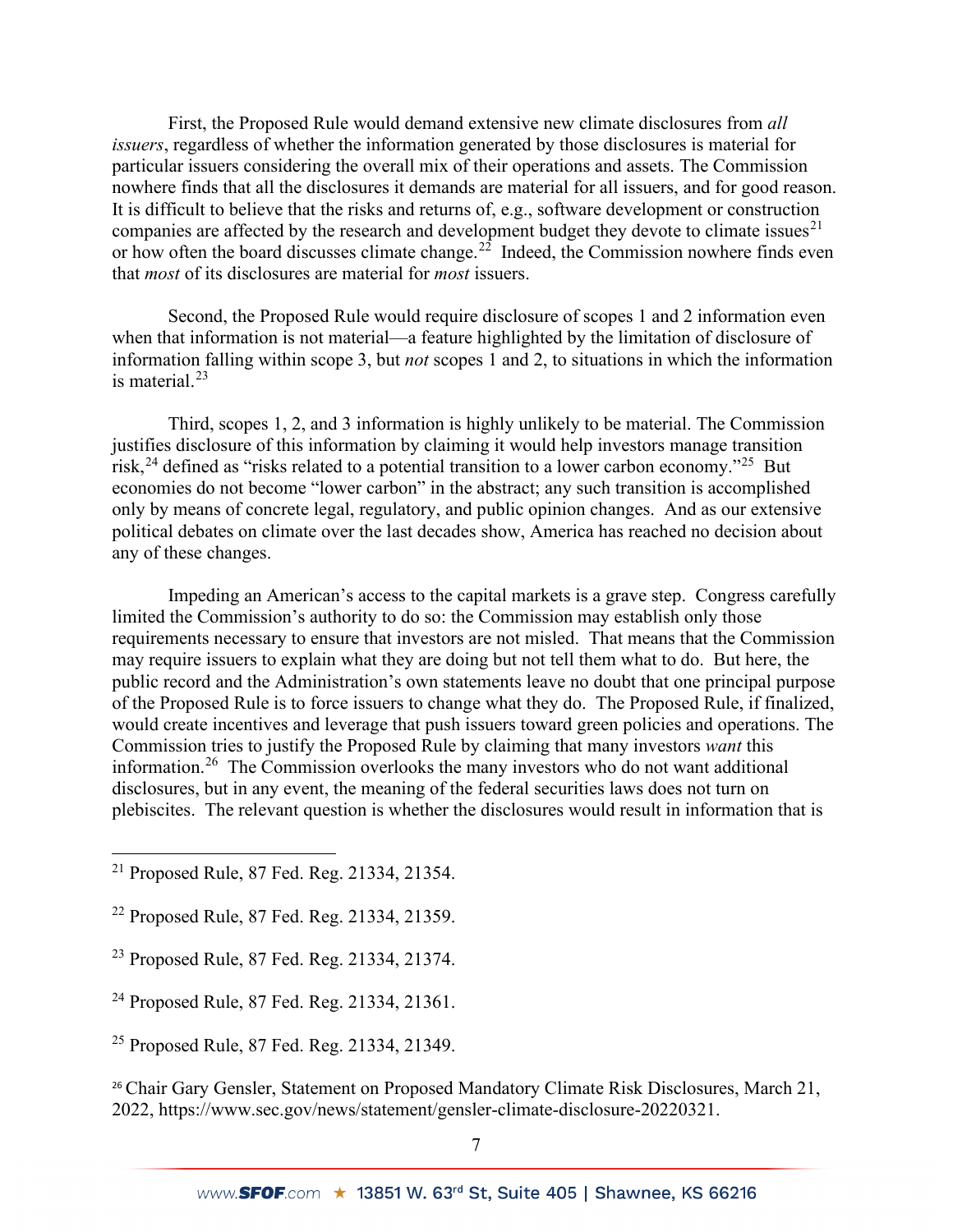First, the Proposed Rule would demand extensive new climate disclosures from *all issuers*, regardless of whether the information generated by those disclosures is material for particular issuers considering the overall mix of their operations and assets. The Commission nowhere finds that all the disclosures it demands are material for all issuers, and for good reason. It is difficult to believe that the risks and returns of, e.g., software development or construction companies are affected by the research and development budget they devote to climate issues<sup>[21](#page-6-0)</sup> or how often the board discusses climate change.<sup>22</sup> Indeed, the Commission nowhere finds even that *most* of its disclosures are material for *most* issuers.

Second, the Proposed Rule would require disclosure of scopes 1 and 2 information even when that information is not material—a feature highlighted by the limitation of disclosure of information falling within scope 3, but *not* scopes 1 and 2, to situations in which the information is material. $23$ 

Third, scopes 1, 2, and 3 information is highly unlikely to be material. The Commission justifies disclosure of this information by claiming it would help investors manage transition risk,  $^{24}$  $^{24}$  $^{24}$  defined as "risks related to a potential transition to a lower carbon economy."<sup>25</sup> But economies do not become "lower carbon" in the abstract; any such transition is accomplished only by means of concrete legal, regulatory, and public opinion changes. And as our extensive political debates on climate over the last decades show, America has reached no decision about any of these changes.

Impeding an American's access to the capital markets is a grave step. Congress carefully limited the Commission's authority to do so: the Commission may establish only those requirements necessary to ensure that investors are not misled. That means that the Commission may require issuers to explain what they are doing but not tell them what to do. But here, the public record and the Administration's own statements leave no doubt that one principal purpose of the Proposed Rule is to force issuers to change what they do. The Proposed Rule, if finalized, would create incentives and leverage that push issuers toward green policies and operations. The Commission tries to justify the Proposed Rule by claiming that many investors *want* this information.[26](#page-6-5) The Commission overlooks the many investors who do not want additional disclosures, but in any event, the meaning of the federal securities laws does not turn on plebiscites. The relevant question is whether the disclosures would result in information that is

- <span id="page-6-2"></span><sup>23</sup> Proposed Rule, 87 Fed. Reg. 21334, 21374.
- <span id="page-6-3"></span><sup>24</sup> Proposed Rule, 87 Fed. Reg. 21334, 21361.
- <span id="page-6-4"></span><sup>25</sup> Proposed Rule, 87 Fed. Reg. 21334, 21349.

<span id="page-6-5"></span><sup>26</sup> Chair Gary Gensler, Statement on Proposed Mandatory Climate Risk Disclosures, March 21, 2022, https://www.sec.gov/news/statement/gensler-climate-disclosure-20220321.

<span id="page-6-0"></span><sup>21</sup> Proposed Rule, 87 Fed. Reg. 21334, 21354.

<span id="page-6-1"></span><sup>22</sup> Proposed Rule, 87 Fed. Reg. 21334, 21359.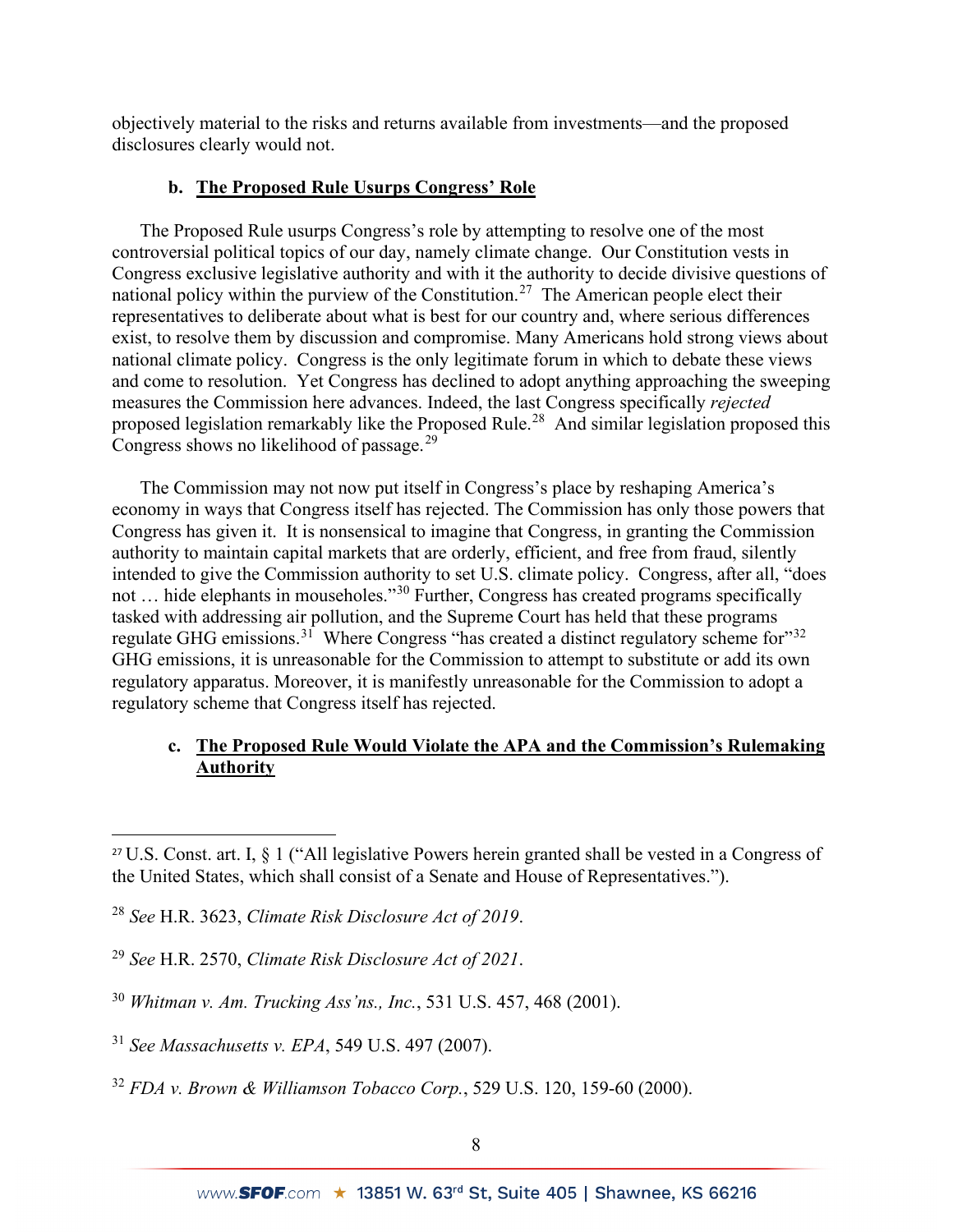objectively material to the risks and returns available from investments—and the proposed disclosures clearly would not.

# **b. The Proposed Rule Usurps Congress' Role**

The Proposed Rule usurps Congress's role by attempting to resolve one of the most controversial political topics of our day, namely climate change. Our Constitution vests in Congress exclusive legislative authority and with it the authority to decide divisive questions of national policy within the purview of the Constitution.[27](#page-7-0) The American people elect their representatives to deliberate about what is best for our country and, where serious differences exist, to resolve them by discussion and compromise. Many Americans hold strong views about national climate policy. Congress is the only legitimate forum in which to debate these views and come to resolution. Yet Congress has declined to adopt anything approaching the sweeping measures the Commission here advances. Indeed, the last Congress specifically *rejected*  proposed legislation remarkably like the Proposed Rule.<sup>[28](#page-7-1)</sup> And similar legislation proposed this Congress shows no likelihood of passage.<sup>[29](#page-7-2)</sup>

The Commission may not now put itself in Congress's place by reshaping America's economy in ways that Congress itself has rejected. The Commission has only those powers that Congress has given it. It is nonsensical to imagine that Congress, in granting the Commission authority to maintain capital markets that are orderly, efficient, and free from fraud, silently intended to give the Commission authority to set U.S. climate policy. Congress, after all, "does not … hide elephants in mouseholes."[30](#page-7-3) Further, Congress has created programs specifically tasked with addressing air pollution, and the Supreme Court has held that these programs regulate GHG emissions.<sup>31</sup> Where Congress "has created a distinct regulatory scheme for"<sup>[32](#page-7-5)</sup> GHG emissions, it is unreasonable for the Commission to attempt to substitute or add its own regulatory apparatus. Moreover, it is manifestly unreasonable for the Commission to adopt a regulatory scheme that Congress itself has rejected.

# **c. The Proposed Rule Would Violate the APA and the Commission's Rulemaking Authority**

<span id="page-7-0"></span><sup>27</sup> U.S. Const. art. I, § 1 ("All legislative Powers herein granted shall be vested in a Congress of the United States, which shall consist of a Senate and House of Representatives.").

<span id="page-7-1"></span><sup>28</sup> *See* H.R. 3623, *Climate Risk Disclosure Act of 2019*.

<span id="page-7-2"></span><sup>29</sup> *See* H.R. 2570, *Climate Risk Disclosure Act of 2021*.

<span id="page-7-3"></span><sup>30</sup> *Whitman v. Am. Trucking Ass'ns., Inc.*, 531 U.S. 457, 468 (2001).

<span id="page-7-4"></span><sup>31</sup> *See Massachusetts v. EPA*, 549 U.S. 497 (2007).

<span id="page-7-5"></span><sup>32</sup> *FDA v. Brown & Williamson Tobacco Corp.*, 529 U.S. 120, 159-60 (2000).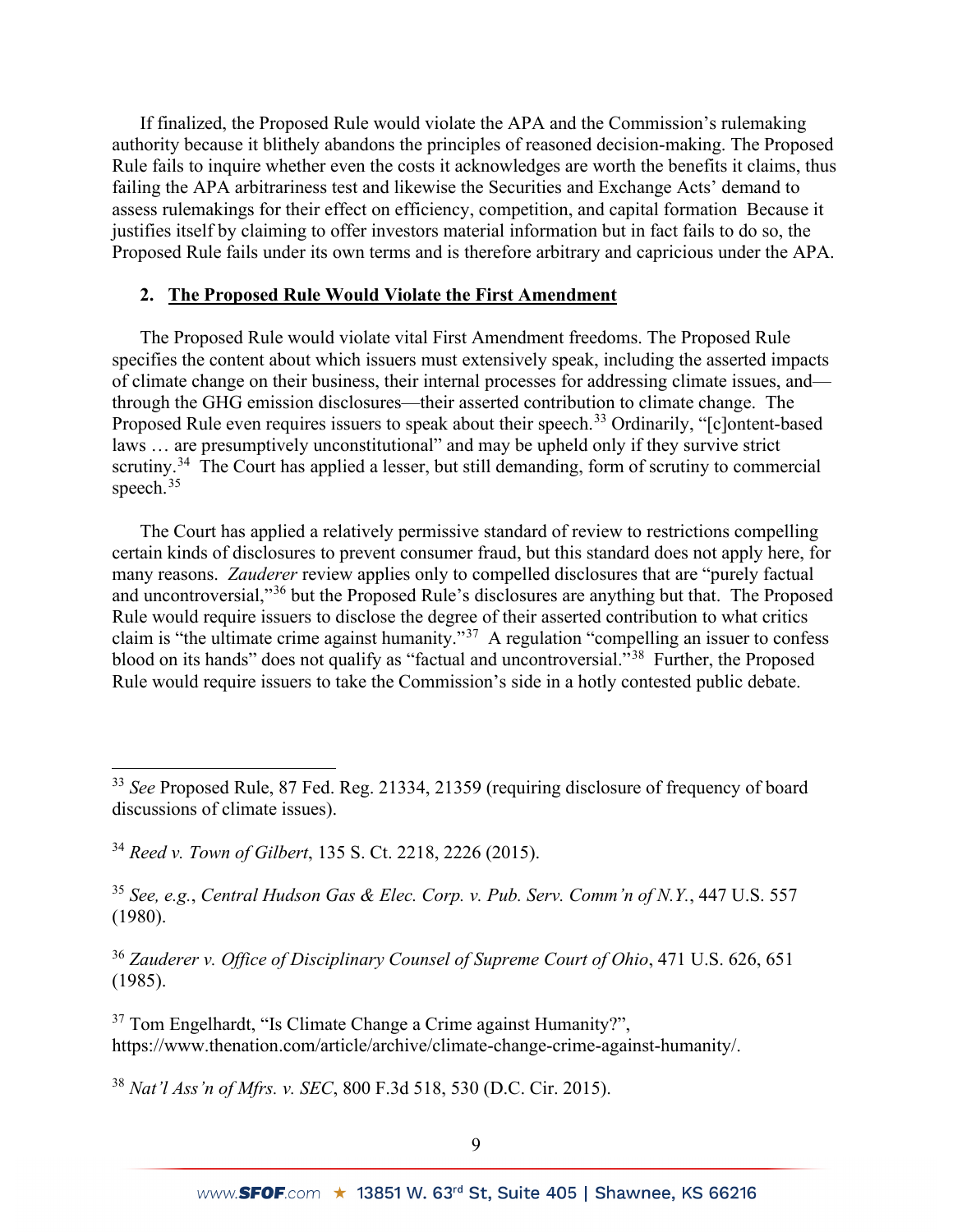If finalized, the Proposed Rule would violate the APA and the Commission's rulemaking authority because it blithely abandons the principles of reasoned decision-making. The Proposed Rule fails to inquire whether even the costs it acknowledges are worth the benefits it claims, thus failing the APA arbitrariness test and likewise the Securities and Exchange Acts' demand to assess rulemakings for their effect on efficiency, competition, and capital formation Because it justifies itself by claiming to offer investors material information but in fact fails to do so, the Proposed Rule fails under its own terms and is therefore arbitrary and capricious under the APA.

# **2. The Proposed Rule Would Violate the First Amendment**

The Proposed Rule would violate vital First Amendment freedoms. The Proposed Rule specifies the content about which issuers must extensively speak, including the asserted impacts of climate change on their business, their internal processes for addressing climate issues, and through the GHG emission disclosures—their asserted contribution to climate change. The Proposed Rule even requires issuers to speak about their speech.<sup>[33](#page-8-0)</sup> Ordinarily, "[c]ontent-based laws ... are presumptively unconstitutional" and may be upheld only if they survive strict scrutiny.<sup>[34](#page-8-1)</sup> The Court has applied a lesser, but still demanding, form of scrutiny to commercial speech.<sup>[35](#page-8-2)</sup>

The Court has applied a relatively permissive standard of review to restrictions compelling certain kinds of disclosures to prevent consumer fraud, but this standard does not apply here, for many reasons. *Zauderer* review applies only to compelled disclosures that are "purely factual and uncontroversial,"[36](#page-8-3) but the Proposed Rule's disclosures are anything but that. The Proposed Rule would require issuers to disclose the degree of their asserted contribution to what critics claim is "the ultimate crime against humanity."<sup>37</sup> A regulation "compelling an issuer to confess blood on its hands" does not qualify as "factual and uncontroversial."<sup>[38](#page-8-5)</sup> Further, the Proposed Rule would require issuers to take the Commission's side in a hotly contested public debate.

<span id="page-8-2"></span><sup>35</sup> *See, e.g.*, *Central Hudson Gas & Elec. Corp. v. Pub. Serv. Comm'n of N.Y.*, 447 U.S. 557 (1980).

<span id="page-8-3"></span><sup>36</sup> *Zauderer v. Office of Disciplinary Counsel of Supreme Court of Ohio*, 471 U.S. 626, 651 (1985).

<span id="page-8-4"></span>37 Tom Engelhardt, "Is Climate Change a Crime against Humanity?", https://www.thenation.com/article/archive/climate-change-crime-against-humanity/.

<span id="page-8-5"></span><sup>38</sup> *Nat'l Ass'n of Mfrs. v. SEC*, 800 F.3d 518, 530 (D.C. Cir. 2015).

<span id="page-8-0"></span><sup>33</sup> *See* Proposed Rule, 87 Fed. Reg. 21334, 21359 (requiring disclosure of frequency of board discussions of climate issues).

<span id="page-8-1"></span><sup>34</sup> *Reed v. Town of Gilbert*, 135 S. Ct. 2218, 2226 (2015).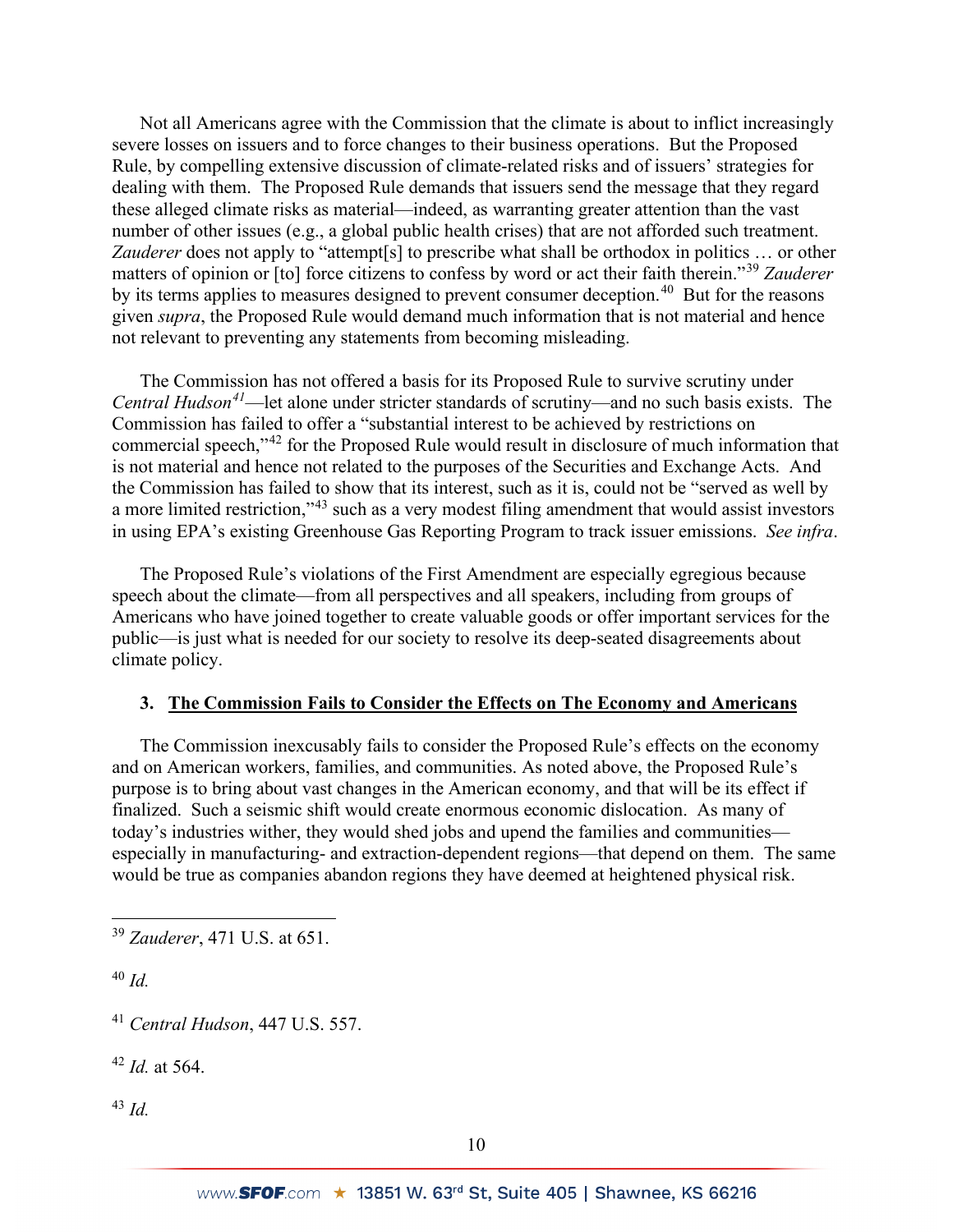Not all Americans agree with the Commission that the climate is about to inflict increasingly severe losses on issuers and to force changes to their business operations. But the Proposed Rule, by compelling extensive discussion of climate-related risks and of issuers' strategies for dealing with them. The Proposed Rule demands that issuers send the message that they regard these alleged climate risks as material—indeed, as warranting greater attention than the vast number of other issues (e.g., a global public health crises) that are not afforded such treatment. *Zauderer* does not apply to "attempt[s] to prescribe what shall be orthodox in politics … or other matters of opinion or [to] force citizens to confess by word or act their faith therein."[39](#page-9-0) *Zauderer*  by its terms applies to measures designed to prevent consumer deception.<sup>40</sup> But for the reasons given *supra*, the Proposed Rule would demand much information that is not material and hence not relevant to preventing any statements from becoming misleading.

The Commission has not offered a basis for its Proposed Rule to survive scrutiny under *Central Hudson[41](#page-9-2)*—let alone under stricter standards of scrutiny—and no such basis exists. The Commission has failed to offer a "substantial interest to be achieved by restrictions on commercial speech,"[42](#page-9-3) for the Proposed Rule would result in disclosure of much information that is not material and hence not related to the purposes of the Securities and Exchange Acts. And the Commission has failed to show that its interest, such as it is, could not be "served as well by a more limited restriction,"<sup>43</sup> such as a very modest filing amendment that would assist investors in using EPA's existing Greenhouse Gas Reporting Program to track issuer emissions. *See infra*.

The Proposed Rule's violations of the First Amendment are especially egregious because speech about the climate—from all perspectives and all speakers, including from groups of Americans who have joined together to create valuable goods or offer important services for the public—is just what is needed for our society to resolve its deep-seated disagreements about climate policy.

# **3. The Commission Fails to Consider the Effects on The Economy and Americans**

The Commission inexcusably fails to consider the Proposed Rule's effects on the economy and on American workers, families, and communities. As noted above, the Proposed Rule's purpose is to bring about vast changes in the American economy, and that will be its effect if finalized. Such a seismic shift would create enormous economic dislocation. As many of today's industries wither, they would shed jobs and upend the families and communities especially in manufacturing- and extraction-dependent regions—that depend on them. The same would be true as companies abandon regions they have deemed at heightened physical risk.

<span id="page-9-1"></span><sup>40</sup> *Id.*

<span id="page-9-3"></span><sup>42</sup> *Id.* at 564.

<span id="page-9-4"></span><sup>43</sup> *Id.*

<span id="page-9-0"></span><sup>39</sup> *Zauderer*, 471 U.S. at 651.

<span id="page-9-2"></span><sup>41</sup> *Central Hudson*, 447 U.S. 557.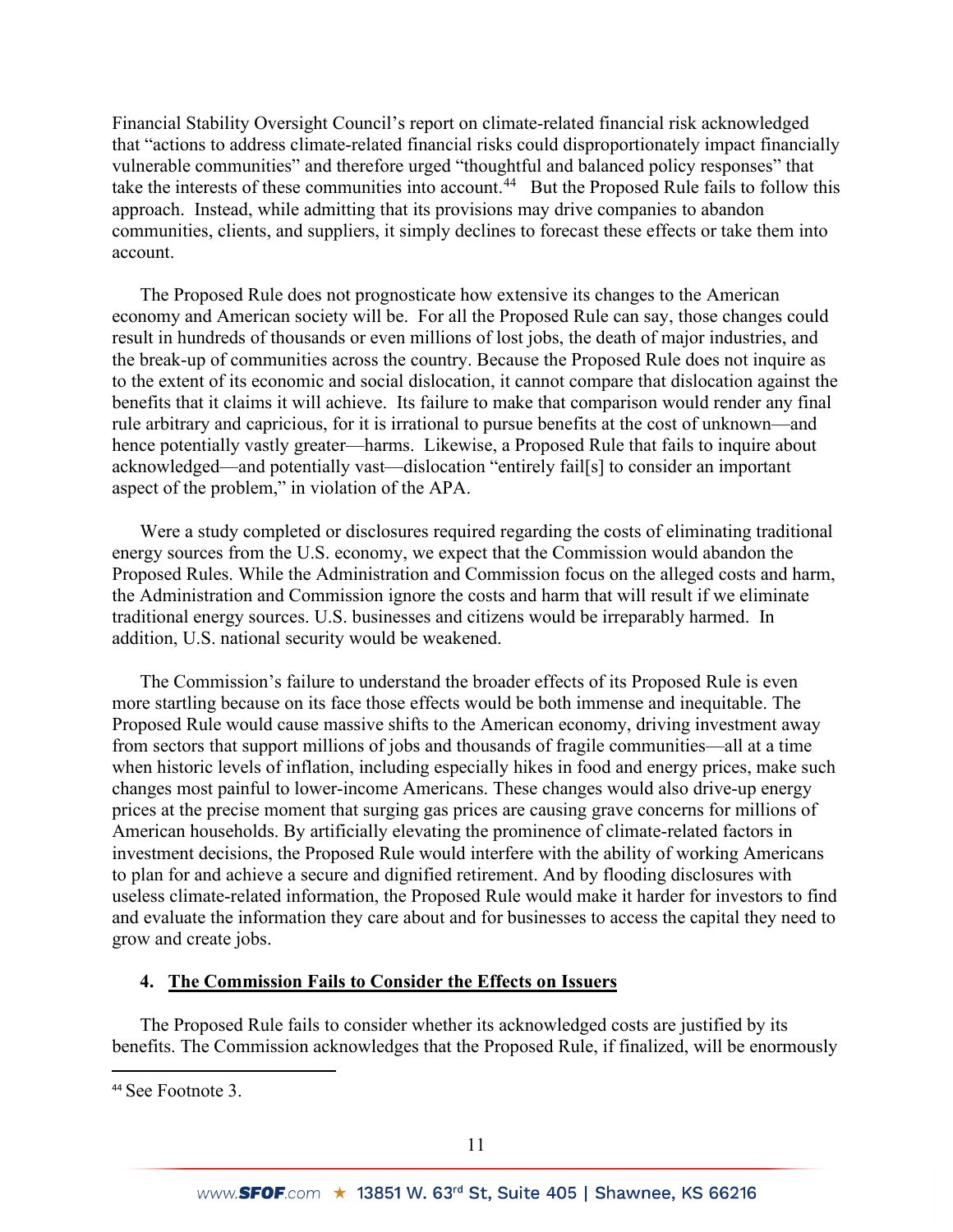Financial Stability Oversight Council's report on climate-related financial risk acknowledged that "actions to address climate-related financial risks could disproportionately impact financially vulnerable communities" and therefore urged "thoughtful and balanced policy responses" that take the interests of these communities into account.<sup>44</sup> But the Proposed Rule fails to follow this approach. Instead, while admitting that its provisions may drive companies to abandon communities, clients, and suppliers, it simply declines to forecast these effects or take them into account.

The Proposed Rule does not prognosticate how extensive its changes to the American economy and American society will be. For all the Proposed Rule can say, those changes could result in hundreds of thousands or even millions of lost jobs, the death of major industries, and the break-up of communities across the country. Because the Proposed Rule does not inquire as to the extent of its economic and social dislocation, it cannot compare that dislocation against the benefits that it claims it will achieve. Its failure to make that comparison would render any final rule arbitrary and capricious, for it is irrational to pursue benefits at the cost of unknown—and hence potentially vastly greater—harms. Likewise, a Proposed Rule that fails to inquire about acknowledged—and potentially vast—dislocation "entirely fail[s] to consider an important aspect of the problem," in violation of the APA.

Were a study completed or disclosures required regarding the costs of eliminating traditional energy sources from the U.S. economy, we expect that the Commission would abandon the Proposed Rules. While the Administration and Commission focus on the alleged costs and harm, the Administration and Commission ignore the costs and harm that will result if we eliminate traditional energy sources. U.S. businesses and citizens would be irreparably harmed. In addition, U.S. national security would be weakened.

The Commission's failure to understand the broader effects of its Proposed Rule is even more startling because on its face those effects would be both immense and inequitable. The Proposed Rule would cause massive shifts to the American economy, driving investment away from sectors that support millions of jobs and thousands of fragile communities—all at a time when historic levels of inflation, including especially hikes in food and energy prices, make such changes most painful to lower-income Americans. These changes would also drive-up energy prices at the precise moment that surging gas prices are causing grave concerns for millions of American households. By artificially elevating the prominence of climate-related factors in investment decisions, the Proposed Rule would interfere with the ability of working Americans to plan for and achieve a secure and dignified retirement. And by flooding disclosures with useless climate-related information, the Proposed Rule would make it harder for investors to find and evaluate the information they care about and for businesses to access the capital they need to grow and create jobs.

#### **4. The Commission Fails to Consider the Effects on Issuers**

The Proposed Rule fails to consider whether its acknowledged costs are justified by its benefits. The Commission acknowledges that the Proposed Rule, if finalized, will be enormously

<span id="page-10-0"></span><sup>44</sup> See Footnote 3.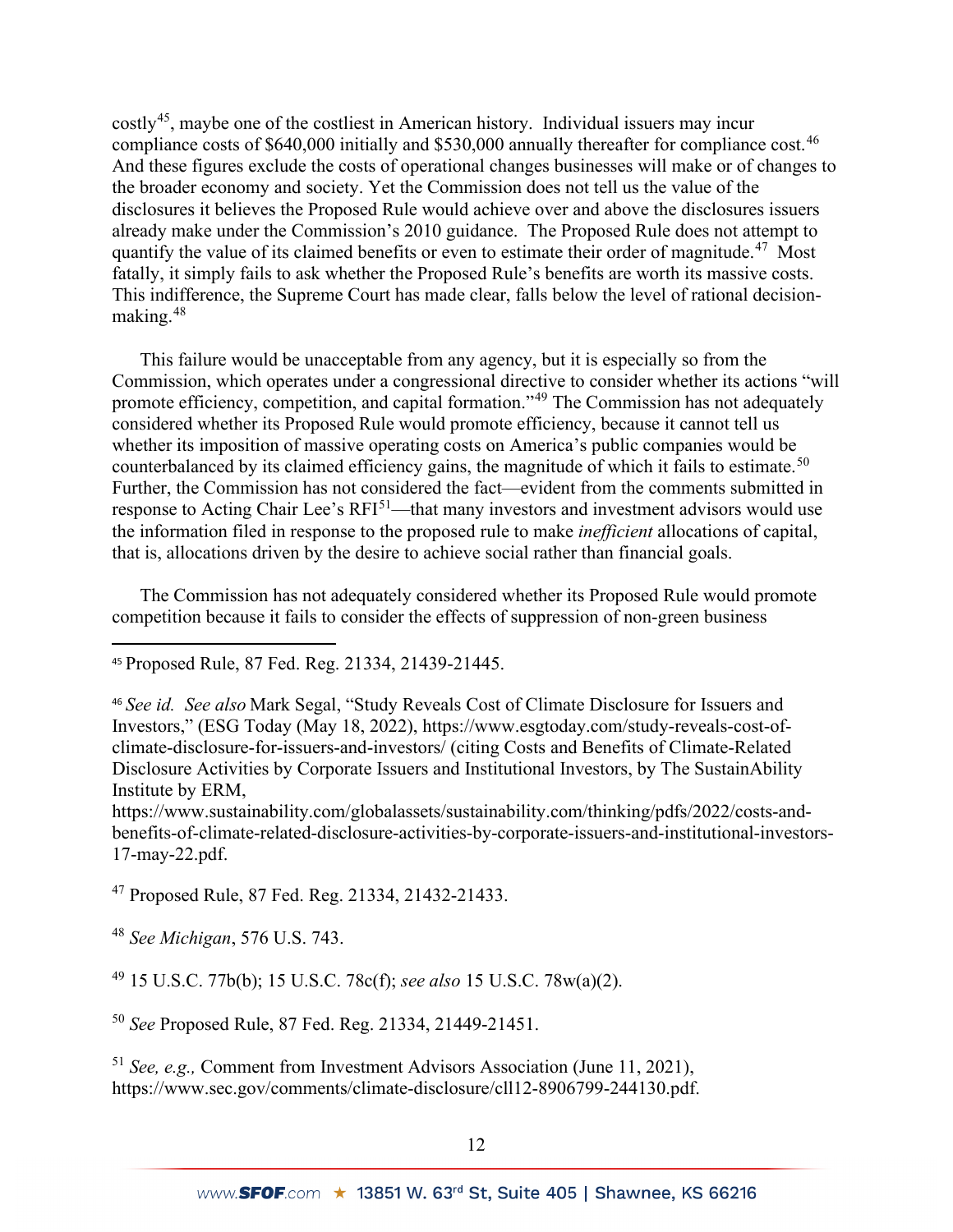costly[45](#page-11-0), maybe one of the costliest in American history. Individual issuers may incur compliance costs of \$640,000 initially and \$530,000 annually thereafter for compliance cost.<sup>[46](#page-11-1)</sup> And these figures exclude the costs of operational changes businesses will make or of changes to the broader economy and society. Yet the Commission does not tell us the value of the disclosures it believes the Proposed Rule would achieve over and above the disclosures issuers already make under the Commission's 2010 guidance. The Proposed Rule does not attempt to quantify the value of its claimed benefits or even to estimate their order of magnitude.<sup>47</sup> Most fatally, it simply fails to ask whether the Proposed Rule's benefits are worth its massive costs. This indifference, the Supreme Court has made clear, falls below the level of rational decisionmaking.[48](#page-11-3)

This failure would be unacceptable from any agency, but it is especially so from the Commission, which operates under a congressional directive to consider whether its actions "will promote efficiency, competition, and capital formation."[49](#page-11-4) The Commission has not adequately considered whether its Proposed Rule would promote efficiency, because it cannot tell us whether its imposition of massive operating costs on America's public companies would be counterbalanced by its claimed efficiency gains, the magnitude of which it fails to estimate.<sup>[50](#page-11-5)</sup> Further, the Commission has not considered the fact—evident from the comments submitted in response to Acting Chair Lee's RFI<sup>51</sup>—that many investors and investment advisors would use the information filed in response to the proposed rule to make *inefficient* allocations of capital, that is, allocations driven by the desire to achieve social rather than financial goals.

The Commission has not adequately considered whether its Proposed Rule would promote competition because it fails to consider the effects of suppression of non-green business

<span id="page-11-1"></span><sup>46</sup> *See id. See also* Mark Segal, "Study Reveals Cost of Climate Disclosure for Issuers and Investors," (ESG Today (May 18, 2022), https://www.esgtoday.com/study-reveals-cost-ofclimate-disclosure-for-issuers-and-investors/ (citing Costs and Benefits of Climate-Related Disclosure Activities by Corporate Issuers and Institutional Investors, by The SustainAbility Institute by ERM,

https://www.sustainability.com/globalassets/sustainability.com/thinking/pdfs/2022/costs-andbenefits-of-climate-related-disclosure-activities-by-corporate-issuers-and-institutional-investors-17-may-22.pdf.

<span id="page-11-2"></span><sup>47</sup> Proposed Rule, 87 Fed. Reg. 21334, 21432-21433.

<span id="page-11-3"></span><sup>48</sup> *See Michigan*, 576 U.S. 743.

<span id="page-11-4"></span><sup>49</sup> 15 U.S.C. 77b(b); 15 U.S.C. 78c(f); *see also* 15 U.S.C. 78w(a)(2).

<span id="page-11-5"></span><sup>50</sup> *See* Proposed Rule, 87 Fed. Reg. 21334, 21449-21451.

<span id="page-11-6"></span><sup>51</sup> *See, e.g.,* Comment from Investment Advisors Association (June 11, 2021), https://www.sec.gov/comments/climate-disclosure/cll12-8906799-244130.pdf.

<span id="page-11-0"></span><sup>45</sup> Proposed Rule, 87 Fed. Reg. 21334, 21439-21445.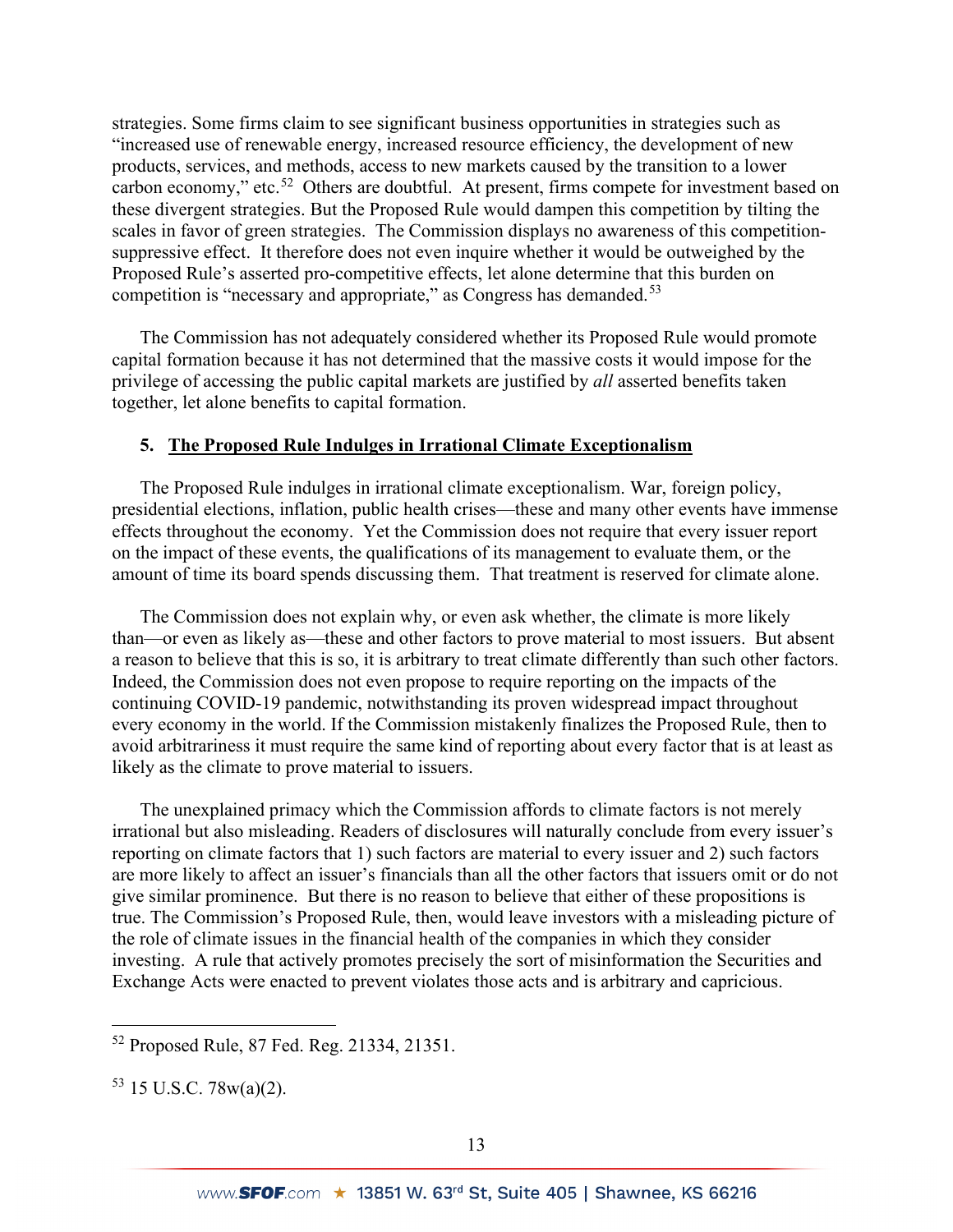strategies. Some firms claim to see significant business opportunities in strategies such as "increased use of renewable energy, increased resource efficiency, the development of new products, services, and methods, access to new markets caused by the transition to a lower carbon economy," etc.<sup>52</sup> Others are doubtful. At present, firms compete for investment based on these divergent strategies. But the Proposed Rule would dampen this competition by tilting the scales in favor of green strategies. The Commission displays no awareness of this competitionsuppressive effect. It therefore does not even inquire whether it would be outweighed by the Proposed Rule's asserted pro-competitive effects, let alone determine that this burden on competition is "necessary and appropriate," as Congress has demanded.<sup>[53](#page-12-1)</sup>

The Commission has not adequately considered whether its Proposed Rule would promote capital formation because it has not determined that the massive costs it would impose for the privilege of accessing the public capital markets are justified by *all* asserted benefits taken together, let alone benefits to capital formation.

## **5. The Proposed Rule Indulges in Irrational Climate Exceptionalism**

The Proposed Rule indulges in irrational climate exceptionalism. War, foreign policy, presidential elections, inflation, public health crises—these and many other events have immense effects throughout the economy. Yet the Commission does not require that every issuer report on the impact of these events, the qualifications of its management to evaluate them, or the amount of time its board spends discussing them. That treatment is reserved for climate alone.

The Commission does not explain why, or even ask whether, the climate is more likely than—or even as likely as—these and other factors to prove material to most issuers. But absent a reason to believe that this is so, it is arbitrary to treat climate differently than such other factors. Indeed, the Commission does not even propose to require reporting on the impacts of the continuing COVID-19 pandemic, notwithstanding its proven widespread impact throughout every economy in the world. If the Commission mistakenly finalizes the Proposed Rule, then to avoid arbitrariness it must require the same kind of reporting about every factor that is at least as likely as the climate to prove material to issuers.

The unexplained primacy which the Commission affords to climate factors is not merely irrational but also misleading. Readers of disclosures will naturally conclude from every issuer's reporting on climate factors that 1) such factors are material to every issuer and 2) such factors are more likely to affect an issuer's financials than all the other factors that issuers omit or do not give similar prominence. But there is no reason to believe that either of these propositions is true. The Commission's Proposed Rule, then, would leave investors with a misleading picture of the role of climate issues in the financial health of the companies in which they consider investing. A rule that actively promotes precisely the sort of misinformation the Securities and Exchange Acts were enacted to prevent violates those acts and is arbitrary and capricious.

<span id="page-12-0"></span><sup>52</sup> Proposed Rule, 87 Fed. Reg. 21334, 21351.

<span id="page-12-1"></span> $53$  15 U.S.C. 78 $w(a)(2)$ .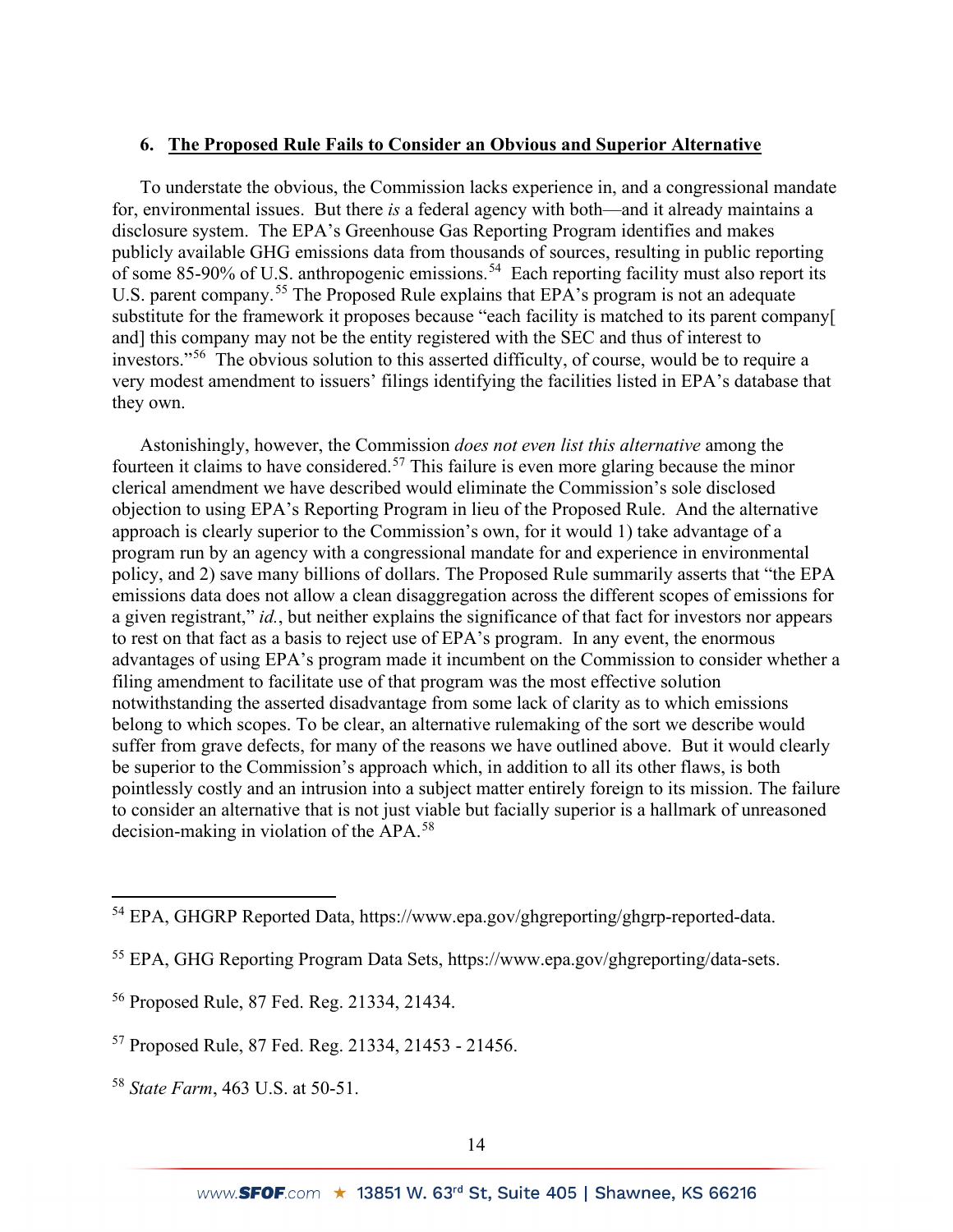#### **6. The Proposed Rule Fails to Consider an Obvious and Superior Alternative**

To understate the obvious, the Commission lacks experience in, and a congressional mandate for, environmental issues. But there *is* a federal agency with both—and it already maintains a disclosure system. The EPA's Greenhouse Gas Reporting Program identifies and makes publicly available GHG emissions data from thousands of sources, resulting in public reporting of some 85-90% of U.S. anthropogenic emissions.<sup>[54](#page-13-0)</sup> Each reporting facility must also report its U.S. parent company.<sup>[55](#page-13-1)</sup> The Proposed Rule explains that EPA's program is not an adequate substitute for the framework it proposes because "each facility is matched to its parent company[ and] this company may not be the entity registered with the SEC and thus of interest to investors."[56](#page-13-2) The obvious solution to this asserted difficulty, of course, would be to require a very modest amendment to issuers' filings identifying the facilities listed in EPA's database that they own.

Astonishingly, however, the Commission *does not even list this alternative* among the fourteen it claims to have considered.<sup>57</sup> This failure is even more glaring because the minor clerical amendment we have described would eliminate the Commission's sole disclosed objection to using EPA's Reporting Program in lieu of the Proposed Rule. And the alternative approach is clearly superior to the Commission's own, for it would 1) take advantage of a program run by an agency with a congressional mandate for and experience in environmental policy, and 2) save many billions of dollars. The Proposed Rule summarily asserts that "the EPA emissions data does not allow a clean disaggregation across the different scopes of emissions for a given registrant," *id.*, but neither explains the significance of that fact for investors nor appears to rest on that fact as a basis to reject use of EPA's program. In any event, the enormous advantages of using EPA's program made it incumbent on the Commission to consider whether a filing amendment to facilitate use of that program was the most effective solution notwithstanding the asserted disadvantage from some lack of clarity as to which emissions belong to which scopes. To be clear, an alternative rulemaking of the sort we describe would suffer from grave defects, for many of the reasons we have outlined above. But it would clearly be superior to the Commission's approach which, in addition to all its other flaws, is both pointlessly costly and an intrusion into a subject matter entirely foreign to its mission. The failure to consider an alternative that is not just viable but facially superior is a hallmark of unreasoned decision-making in violation of the APA.[58](#page-13-4)

<span id="page-13-0"></span><sup>54</sup> EPA, GHGRP Reported Data, https://www.epa.gov/ghgreporting/ghgrp-reported-data.

<span id="page-13-1"></span><sup>55</sup> EPA, GHG Reporting Program Data Sets, https://www.epa.gov/ghgreporting/data-sets.

<span id="page-13-2"></span><sup>56</sup> Proposed Rule, 87 Fed. Reg. 21334, 21434.

<span id="page-13-3"></span><sup>57</sup> Proposed Rule, 87 Fed. Reg. 21334, 21453 - 21456.

<span id="page-13-4"></span><sup>58</sup> *State Farm*, 463 U.S. at 50-51.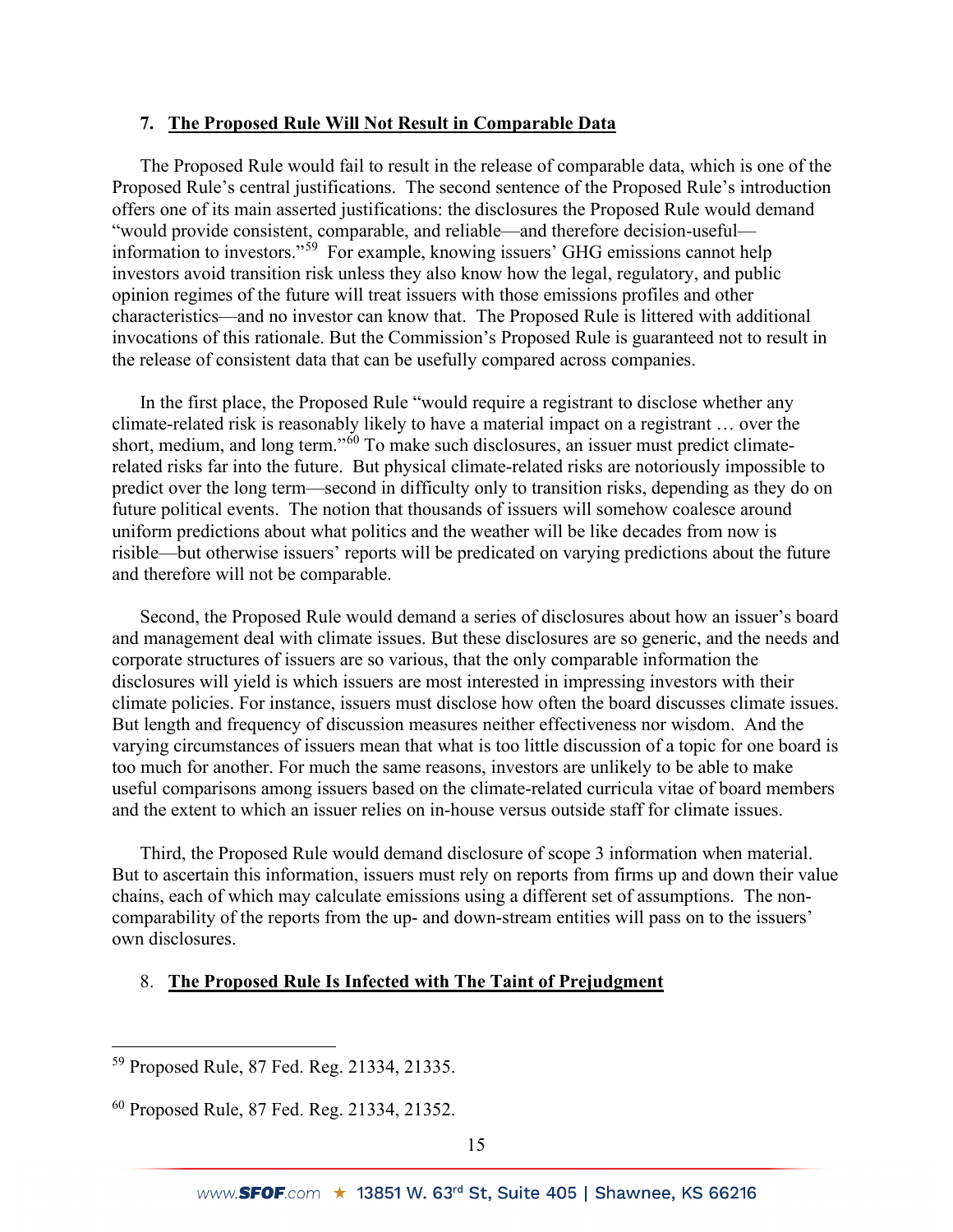## **7. The Proposed Rule Will Not Result in Comparable Data**

The Proposed Rule would fail to result in the release of comparable data, which is one of the Proposed Rule's central justifications. The second sentence of the Proposed Rule's introduction offers one of its main asserted justifications: the disclosures the Proposed Rule would demand "would provide consistent, comparable, and reliable—and therefore decision-useful information to investors."[59](#page-14-0) For example, knowing issuers' GHG emissions cannot help investors avoid transition risk unless they also know how the legal, regulatory, and public opinion regimes of the future will treat issuers with those emissions profiles and other characteristics—and no investor can know that. The Proposed Rule is littered with additional invocations of this rationale. But the Commission's Proposed Rule is guaranteed not to result in the release of consistent data that can be usefully compared across companies.

In the first place, the Proposed Rule "would require a registrant to disclose whether any climate-related risk is reasonably likely to have a material impact on a registrant … over the short, medium, and long term."<sup>[60](#page-14-1)</sup> To make such disclosures, an issuer must predict climaterelated risks far into the future. But physical climate-related risks are notoriously impossible to predict over the long term—second in difficulty only to transition risks, depending as they do on future political events. The notion that thousands of issuers will somehow coalesce around uniform predictions about what politics and the weather will be like decades from now is risible—but otherwise issuers' reports will be predicated on varying predictions about the future and therefore will not be comparable.

Second, the Proposed Rule would demand a series of disclosures about how an issuer's board and management deal with climate issues. But these disclosures are so generic, and the needs and corporate structures of issuers are so various, that the only comparable information the disclosures will yield is which issuers are most interested in impressing investors with their climate policies. For instance, issuers must disclose how often the board discusses climate issues. But length and frequency of discussion measures neither effectiveness nor wisdom. And the varying circumstances of issuers mean that what is too little discussion of a topic for one board is too much for another. For much the same reasons, investors are unlikely to be able to make useful comparisons among issuers based on the climate-related curricula vitae of board members and the extent to which an issuer relies on in-house versus outside staff for climate issues.

Third, the Proposed Rule would demand disclosure of scope 3 information when material. But to ascertain this information, issuers must rely on reports from firms up and down their value chains, each of which may calculate emissions using a different set of assumptions. The noncomparability of the reports from the up- and down-stream entities will pass on to the issuers' own disclosures.

## 8. **The Proposed Rule Is Infected with The Taint of Prejudgment**

<span id="page-14-0"></span><sup>59</sup> Proposed Rule, 87 Fed. Reg. 21334, 21335.

<span id="page-14-1"></span><sup>60</sup> Proposed Rule, 87 Fed. Reg. 21334, 21352.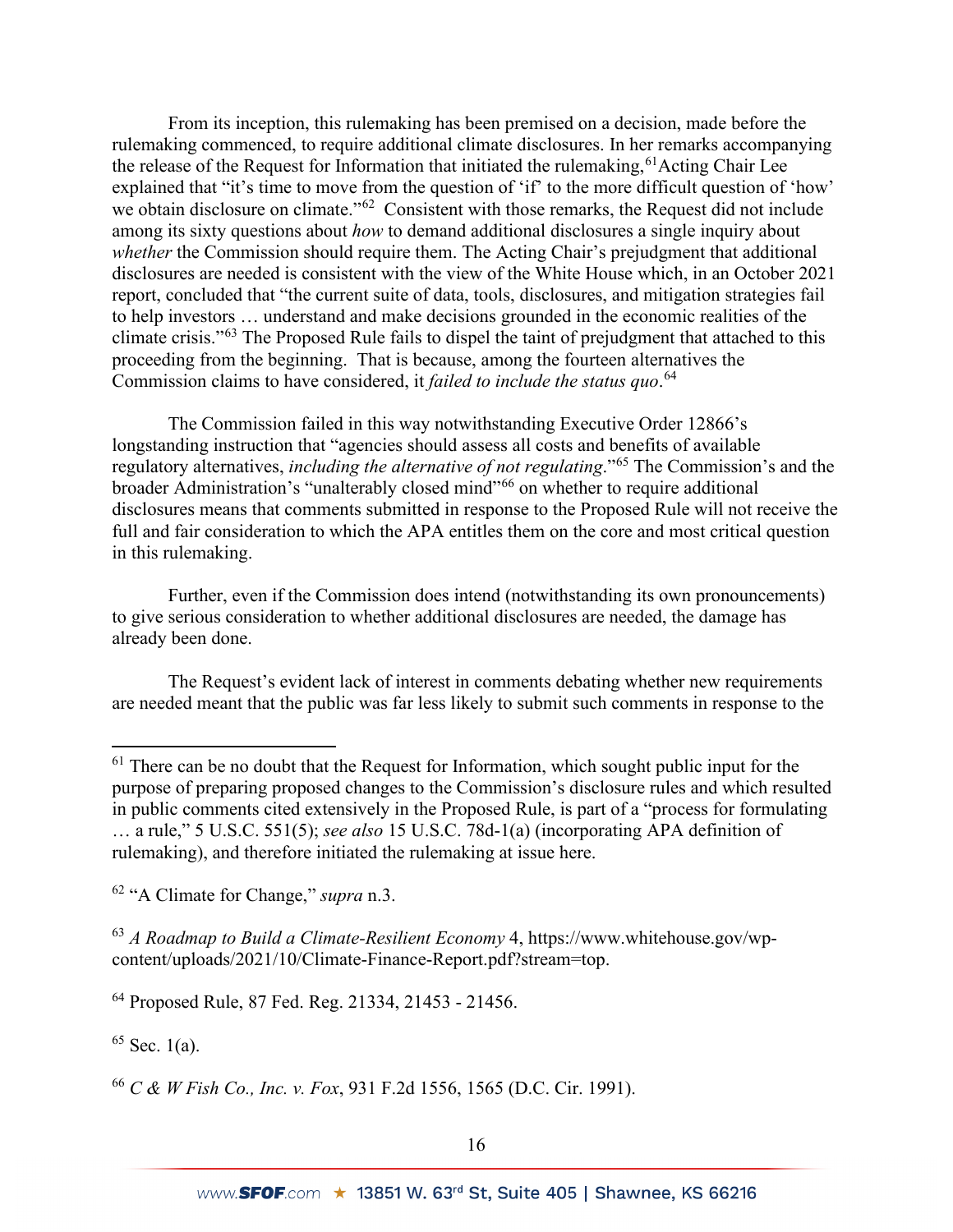From its inception, this rulemaking has been premised on a decision, made before the rulemaking commenced, to require additional climate disclosures. In her remarks accompanying the release of the Request for Information that initiated the rulemaking,  $61$  Acting Chair Lee explained that "it's time to move from the question of 'if' to the more difficult question of 'how' we obtain disclosure on climate."<sup>62</sup> Consistent with those remarks, the Request did not include among its sixty questions about *how* to demand additional disclosures a single inquiry about *whether* the Commission should require them. The Acting Chair's prejudgment that additional disclosures are needed is consistent with the view of the White House which, in an October 2021 report, concluded that "the current suite of data, tools, disclosures, and mitigation strategies fail to help investors … understand and make decisions grounded in the economic realities of the climate crisis."[63](#page-15-2) The Proposed Rule fails to dispel the taint of prejudgment that attached to this proceeding from the beginning. That is because, among the fourteen alternatives the Commission claims to have considered, it *failed to include the status quo*. [64](#page-15-3)

The Commission failed in this way notwithstanding Executive Order 12866's longstanding instruction that "agencies should assess all costs and benefits of available regulatory alternatives, *including the alternative of not regulating*."[65](#page-15-4) The Commission's and the broader Administration's "unalterably closed mind"[66](#page-15-5) on whether to require additional disclosures means that comments submitted in response to the Proposed Rule will not receive the full and fair consideration to which the APA entitles them on the core and most critical question in this rulemaking.

Further, even if the Commission does intend (notwithstanding its own pronouncements) to give serious consideration to whether additional disclosures are needed, the damage has already been done.

The Request's evident lack of interest in comments debating whether new requirements are needed meant that the public was far less likely to submit such comments in response to the

<span id="page-15-2"></span><sup>63</sup> *A Roadmap to Build a Climate-Resilient Economy* 4, https://www.whitehouse.gov/wpcontent/uploads/2021/10/Climate-Finance-Report.pdf?stream=top.

<span id="page-15-3"></span><sup>64</sup> Proposed Rule, 87 Fed. Reg. 21334, 21453 - 21456.

<span id="page-15-4"></span> $65$  Sec. 1(a).

<span id="page-15-5"></span><sup>66</sup> *C & W Fish Co., Inc. v. Fox*, 931 F.2d 1556, 1565 (D.C. Cir. 1991).

<span id="page-15-0"></span> $61$  There can be no doubt that the Request for Information, which sought public input for the purpose of preparing proposed changes to the Commission's disclosure rules and which resulted in public comments cited extensively in the Proposed Rule, is part of a "process for formulating … a rule," 5 U.S.C. 551(5); *see also* 15 U.S.C. 78d-1(a) (incorporating APA definition of rulemaking), and therefore initiated the rulemaking at issue here.

<span id="page-15-1"></span><sup>62</sup> "A Climate for Change," *supra* n.3.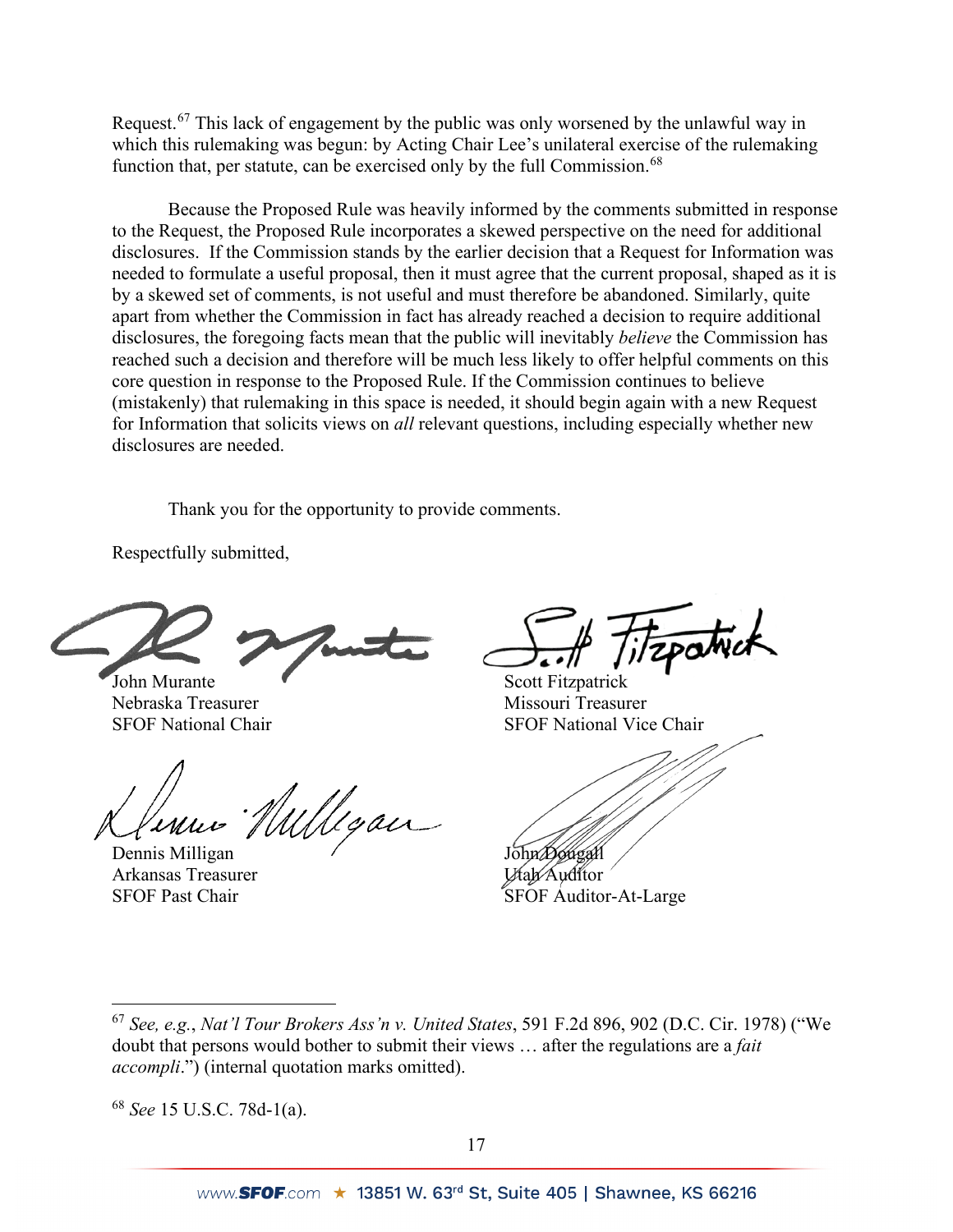Request.<sup>[67](#page-16-0)</sup> This lack of engagement by the public was only worsened by the unlawful way in which this rulemaking was begun: by Acting Chair Lee's unilateral exercise of the rulemaking function that, per statute, can be exercised only by the full Commission.<sup>[68](#page-16-1)</sup>

Because the Proposed Rule was heavily informed by the comments submitted in response to the Request, the Proposed Rule incorporates a skewed perspective on the need for additional disclosures. If the Commission stands by the earlier decision that a Request for Information was needed to formulate a useful proposal, then it must agree that the current proposal, shaped as it is by a skewed set of comments, is not useful and must therefore be abandoned. Similarly, quite apart from whether the Commission in fact has already reached a decision to require additional disclosures, the foregoing facts mean that the public will inevitably *believe* the Commission has reached such a decision and therefore will be much less likely to offer helpful comments on this core question in response to the Proposed Rule. If the Commission continues to believe (mistakenly) that rulemaking in this space is needed, it should begin again with a new Request for Information that solicits views on *all* relevant questions, including especially whether new disclosures are needed.

Thank you for the opportunity to provide comments.

Respectfully submitted,

Nebraska Treasurer Missouri Treasurer

Wyan

Dennis Milligan John Dougall<br>Arkansas Treasurer Vtaly Auditor Arkansas Treasurer

John Murante Scott Fitzpatrick SFOF National Chair SFOF National Vice Chair

SFOF Past Chair SFOF Auditor-At-Large

<span id="page-16-1"></span><sup>68</sup> *See* 15 U.S.C. 78d-1(a).

<span id="page-16-0"></span><sup>67</sup> *See, e.g.*, *Nat'l Tour Brokers Ass'n v. United States*, 591 F.2d 896, 902 (D.C. Cir. 1978) ("We doubt that persons would bother to submit their views … after the regulations are a *fait accompli*.") (internal quotation marks omitted).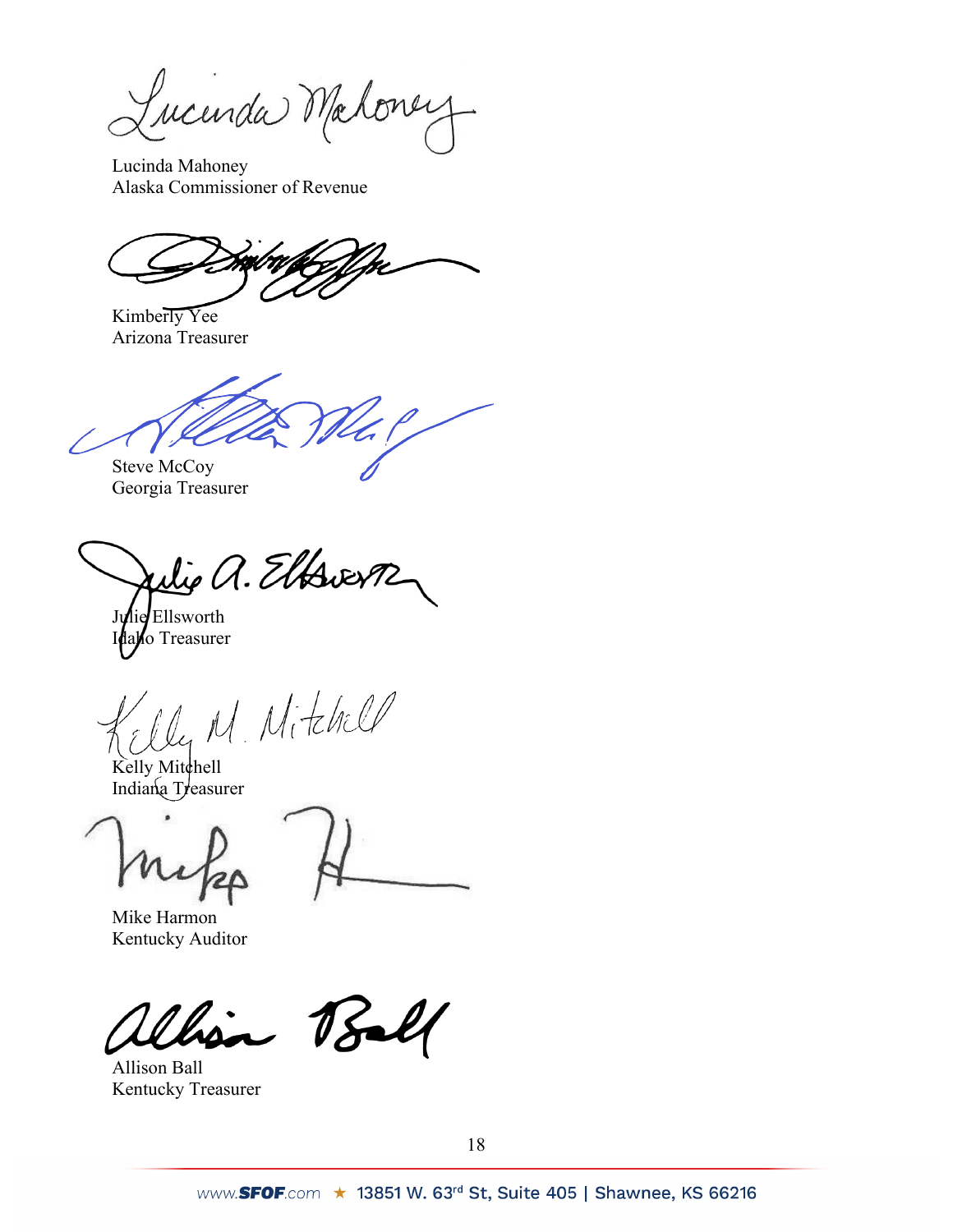Lucinda Maloney

Lucinda Mahoney Alaska Commissioner of Revenue

Kimberly Yee Arizona Treasurer

Steve McCoy

Georgia Treasurer

Wie a. Elfsverp

Julie Ellsworth Idaho Treasurer

M. Mitchell

Kelly Mitchell Indiana Treasurer

Mike Harmon Kentucky Auditor

 $78$ 

Allison Ball Kentucky Treasurer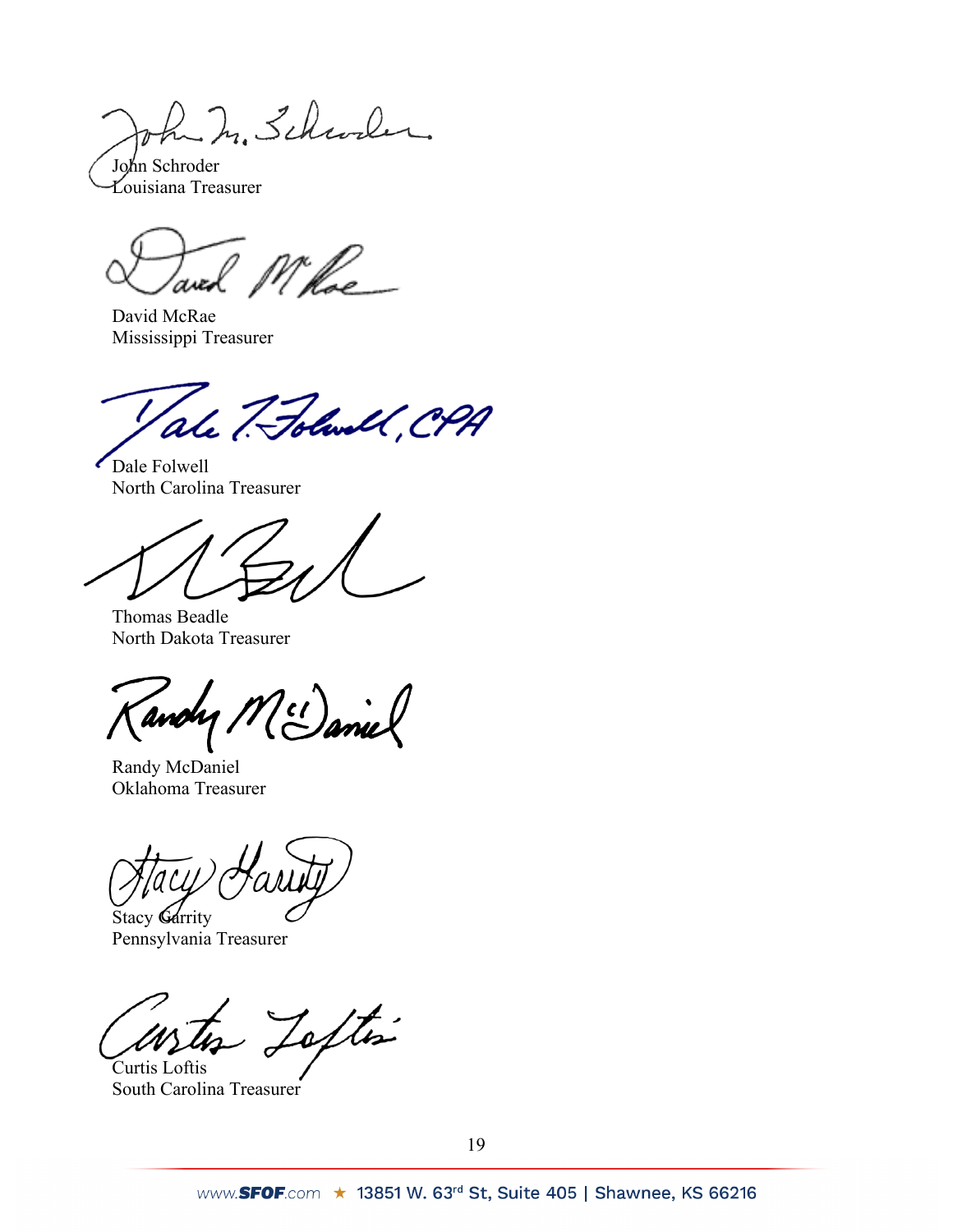In In Schwaler

John Schroder Louisiana Treasurer

David McRae Mississippi Treasurer

ale 7. Folwell, CPA

Dale Folwell North Carolina Treasurer

Thomas Beadle North Dakota Treasurer

M (1) anie andy,

Randy McDaniel Oklahoma Treasurer

Stacy Garrity

Pennsylvania Treasurer

Tofte

Curtis Loftis South Carolina Treasurer